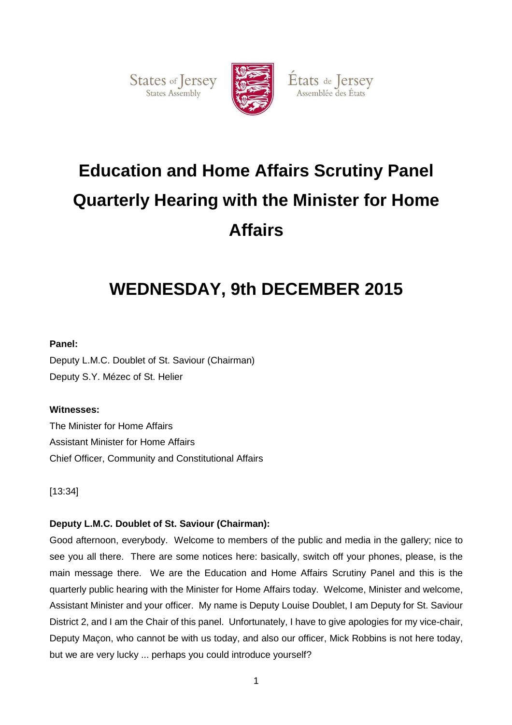States of Jersey



États de Jersey Assemblée des États

# **Education and Home Affairs Scrutiny Panel Quarterly Hearing with the Minister for Home Affairs**

## **WEDNESDAY, 9th DECEMBER 2015**

## **Panel:**

Deputy L.M.C. Doublet of St. Saviour (Chairman) Deputy S.Y. Mézec of St. Helier

## **Witnesses:**

The Minister for Home Affairs Assistant Minister for Home Affairs Chief Officer, Community and Constitutional Affairs

[13:34]

## **Deputy L.M.C. Doublet of St. Saviour (Chairman):**

Good afternoon, everybody. Welcome to members of the public and media in the gallery; nice to see you all there. There are some notices here: basically, switch off your phones, please, is the main message there. We are the Education and Home Affairs Scrutiny Panel and this is the quarterly public hearing with the Minister for Home Affairs today. Welcome, Minister and welcome, Assistant Minister and your officer. My name is Deputy Louise Doublet, I am Deputy for St. Saviour District 2, and I am the Chair of this panel. Unfortunately, I have to give apologies for my vice-chair, Deputy Maçon, who cannot be with us today, and also our officer, Mick Robbins is not here today, but we are very lucky ... perhaps you could introduce yourself?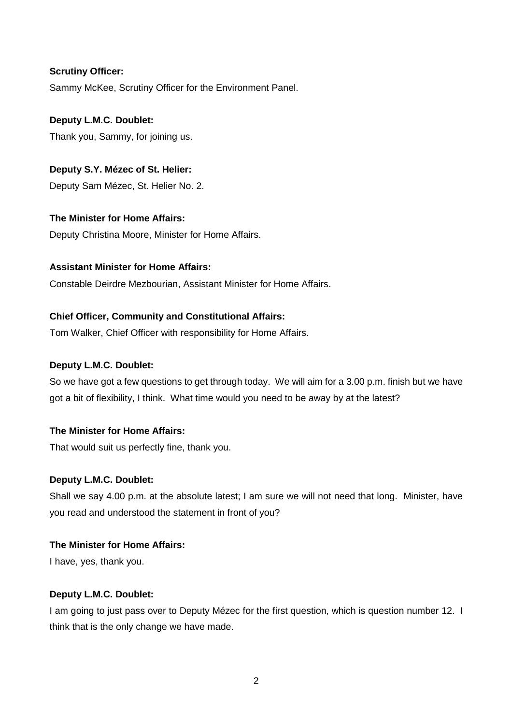## **Scrutiny Officer:**

Sammy McKee, Scrutiny Officer for the Environment Panel.

## **Deputy L.M.C. Doublet:**

Thank you, Sammy, for joining us.

## **Deputy S.Y. Mézec of St. Helier:**

Deputy Sam Mézec, St. Helier No. 2.

## **The Minister for Home Affairs:**

Deputy Christina Moore, Minister for Home Affairs.

## **Assistant Minister for Home Affairs:**

Constable Deirdre Mezbourian, Assistant Minister for Home Affairs.

## **Chief Officer, Community and Constitutional Affairs:**

Tom Walker, Chief Officer with responsibility for Home Affairs.

## **Deputy L.M.C. Doublet:**

So we have got a few questions to get through today. We will aim for a 3.00 p.m. finish but we have got a bit of flexibility, I think. What time would you need to be away by at the latest?

## **The Minister for Home Affairs:**

That would suit us perfectly fine, thank you.

## **Deputy L.M.C. Doublet:**

Shall we say 4.00 p.m. at the absolute latest; I am sure we will not need that long. Minister, have you read and understood the statement in front of you?

## **The Minister for Home Affairs:**

I have, yes, thank you.

## **Deputy L.M.C. Doublet:**

I am going to just pass over to Deputy Mézec for the first question, which is question number 12. I think that is the only change we have made.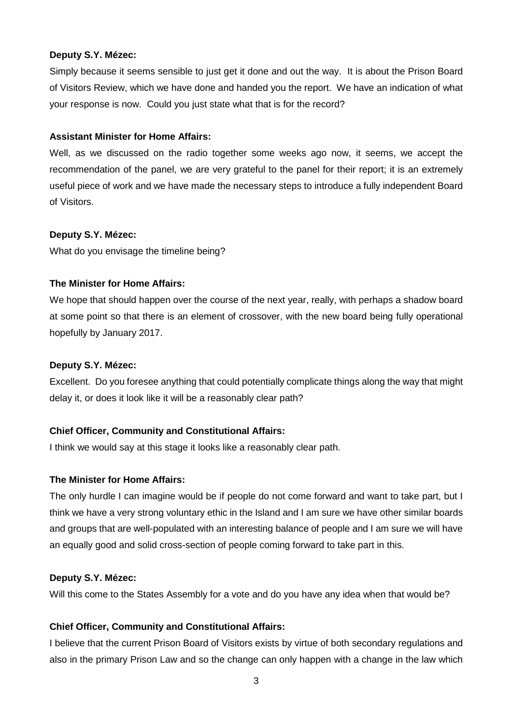#### **Deputy S.Y. Mézec:**

Simply because it seems sensible to just get it done and out the way. It is about the Prison Board of Visitors Review, which we have done and handed you the report. We have an indication of what your response is now. Could you just state what that is for the record?

#### **Assistant Minister for Home Affairs:**

Well, as we discussed on the radio together some weeks ago now, it seems, we accept the recommendation of the panel, we are very grateful to the panel for their report; it is an extremely useful piece of work and we have made the necessary steps to introduce a fully independent Board of Visitors.

#### **Deputy S.Y. Mézec:**

What do you envisage the timeline being?

#### **The Minister for Home Affairs:**

We hope that should happen over the course of the next year, really, with perhaps a shadow board at some point so that there is an element of crossover, with the new board being fully operational hopefully by January 2017.

#### **Deputy S.Y. Mézec:**

Excellent. Do you foresee anything that could potentially complicate things along the way that might delay it, or does it look like it will be a reasonably clear path?

## **Chief Officer, Community and Constitutional Affairs:**

I think we would say at this stage it looks like a reasonably clear path.

#### **The Minister for Home Affairs:**

The only hurdle I can imagine would be if people do not come forward and want to take part, but I think we have a very strong voluntary ethic in the Island and I am sure we have other similar boards and groups that are well-populated with an interesting balance of people and I am sure we will have an equally good and solid cross-section of people coming forward to take part in this.

#### **Deputy S.Y. Mézec:**

Will this come to the States Assembly for a vote and do you have any idea when that would be?

## **Chief Officer, Community and Constitutional Affairs:**

I believe that the current Prison Board of Visitors exists by virtue of both secondary regulations and also in the primary Prison Law and so the change can only happen with a change in the law which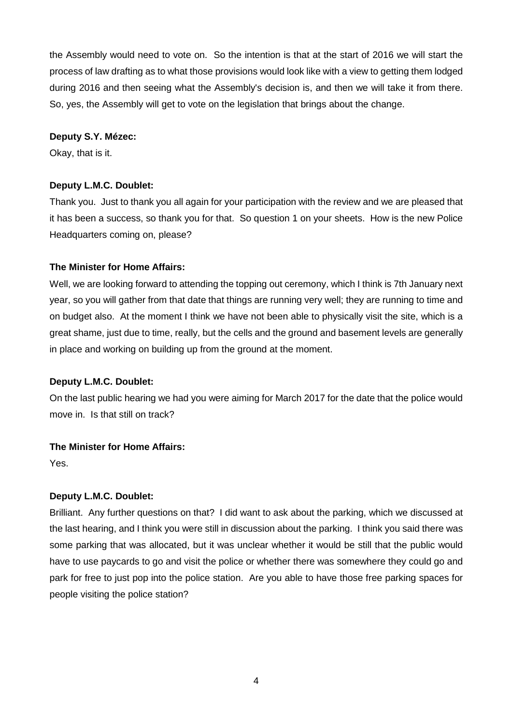the Assembly would need to vote on. So the intention is that at the start of 2016 we will start the process of law drafting as to what those provisions would look like with a view to getting them lodged during 2016 and then seeing what the Assembly's decision is, and then we will take it from there. So, yes, the Assembly will get to vote on the legislation that brings about the change.

#### **Deputy S.Y. Mézec:**

Okay, that is it.

## **Deputy L.M.C. Doublet:**

Thank you. Just to thank you all again for your participation with the review and we are pleased that it has been a success, so thank you for that. So question 1 on your sheets. How is the new Police Headquarters coming on, please?

## **The Minister for Home Affairs:**

Well, we are looking forward to attending the topping out ceremony, which I think is 7th January next year, so you will gather from that date that things are running very well; they are running to time and on budget also. At the moment I think we have not been able to physically visit the site, which is a great shame, just due to time, really, but the cells and the ground and basement levels are generally in place and working on building up from the ground at the moment.

## **Deputy L.M.C. Doublet:**

On the last public hearing we had you were aiming for March 2017 for the date that the police would move in. Is that still on track?

## **The Minister for Home Affairs:**

Yes.

## **Deputy L.M.C. Doublet:**

Brilliant. Any further questions on that? I did want to ask about the parking, which we discussed at the last hearing, and I think you were still in discussion about the parking. I think you said there was some parking that was allocated, but it was unclear whether it would be still that the public would have to use paycards to go and visit the police or whether there was somewhere they could go and park for free to just pop into the police station. Are you able to have those free parking spaces for people visiting the police station?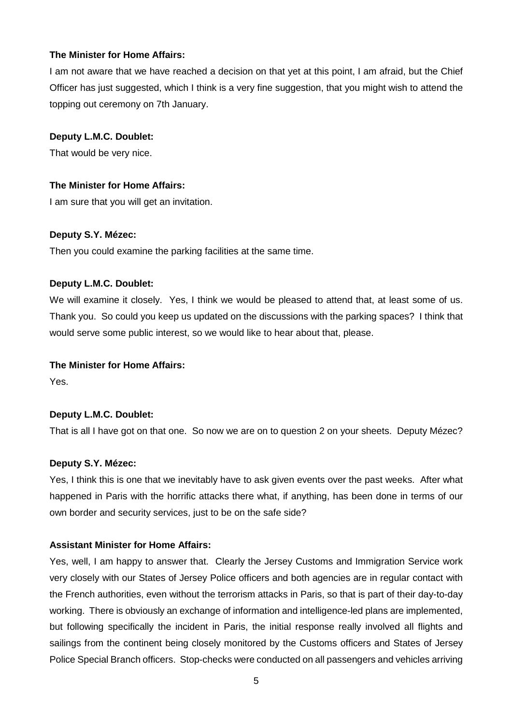## **The Minister for Home Affairs:**

I am not aware that we have reached a decision on that yet at this point, I am afraid, but the Chief Officer has just suggested, which I think is a very fine suggestion, that you might wish to attend the topping out ceremony on 7th January.

#### **Deputy L.M.C. Doublet:**

That would be very nice.

## **The Minister for Home Affairs:**

I am sure that you will get an invitation.

#### **Deputy S.Y. Mézec:**

Then you could examine the parking facilities at the same time.

#### **Deputy L.M.C. Doublet:**

We will examine it closely. Yes, I think we would be pleased to attend that, at least some of us. Thank you. So could you keep us updated on the discussions with the parking spaces? I think that would serve some public interest, so we would like to hear about that, please.

#### **The Minister for Home Affairs:**

Yes.

## **Deputy L.M.C. Doublet:**

That is all I have got on that one. So now we are on to question 2 on your sheets. Deputy Mézec?

#### **Deputy S.Y. Mézec:**

Yes, I think this is one that we inevitably have to ask given events over the past weeks. After what happened in Paris with the horrific attacks there what, if anything, has been done in terms of our own border and security services, just to be on the safe side?

## **Assistant Minister for Home Affairs:**

Yes, well, I am happy to answer that. Clearly the Jersey Customs and Immigration Service work very closely with our States of Jersey Police officers and both agencies are in regular contact with the French authorities, even without the terrorism attacks in Paris, so that is part of their day-to-day working. There is obviously an exchange of information and intelligence-led plans are implemented, but following specifically the incident in Paris, the initial response really involved all flights and sailings from the continent being closely monitored by the Customs officers and States of Jersey Police Special Branch officers. Stop-checks were conducted on all passengers and vehicles arriving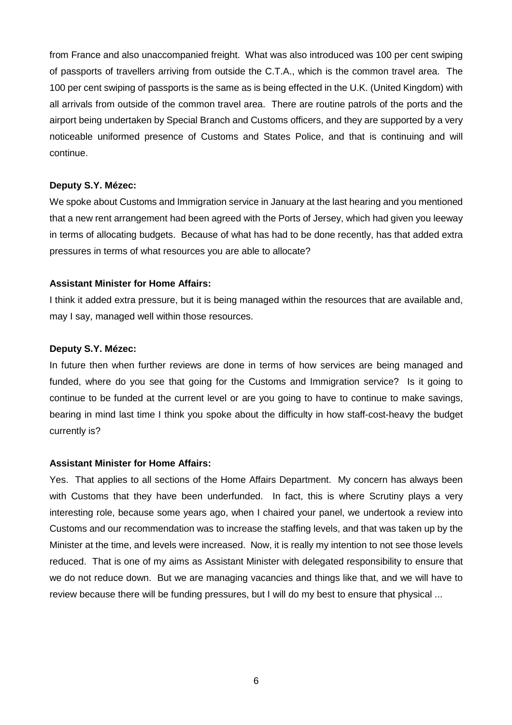from France and also unaccompanied freight. What was also introduced was 100 per cent swiping of passports of travellers arriving from outside the C.T.A., which is the common travel area. The 100 per cent swiping of passports is the same as is being effected in the U.K. (United Kingdom) with all arrivals from outside of the common travel area. There are routine patrols of the ports and the airport being undertaken by Special Branch and Customs officers, and they are supported by a very noticeable uniformed presence of Customs and States Police, and that is continuing and will continue.

#### **Deputy S.Y. Mézec:**

We spoke about Customs and Immigration service in January at the last hearing and you mentioned that a new rent arrangement had been agreed with the Ports of Jersey, which had given you leeway in terms of allocating budgets. Because of what has had to be done recently, has that added extra pressures in terms of what resources you are able to allocate?

#### **Assistant Minister for Home Affairs:**

I think it added extra pressure, but it is being managed within the resources that are available and, may I say, managed well within those resources.

#### **Deputy S.Y. Mézec:**

In future then when further reviews are done in terms of how services are being managed and funded, where do you see that going for the Customs and Immigration service? Is it going to continue to be funded at the current level or are you going to have to continue to make savings, bearing in mind last time I think you spoke about the difficulty in how staff-cost-heavy the budget currently is?

## **Assistant Minister for Home Affairs:**

Yes. That applies to all sections of the Home Affairs Department. My concern has always been with Customs that they have been underfunded. In fact, this is where Scrutiny plays a very interesting role, because some years ago, when I chaired your panel, we undertook a review into Customs and our recommendation was to increase the staffing levels, and that was taken up by the Minister at the time, and levels were increased. Now, it is really my intention to not see those levels reduced. That is one of my aims as Assistant Minister with delegated responsibility to ensure that we do not reduce down. But we are managing vacancies and things like that, and we will have to review because there will be funding pressures, but I will do my best to ensure that physical ...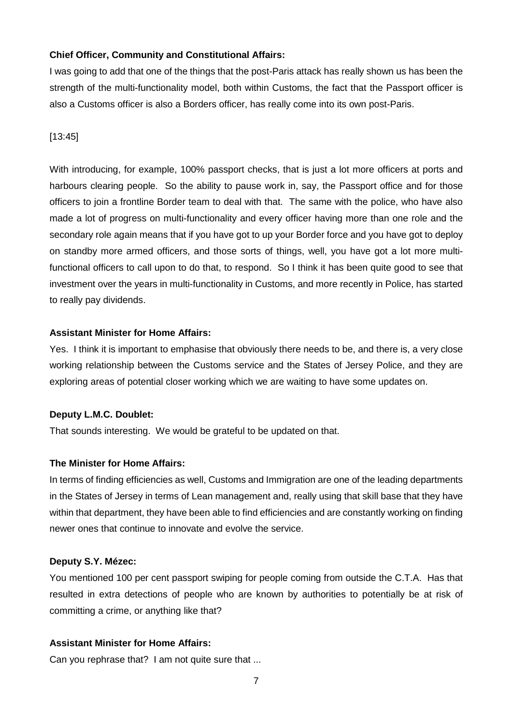#### **Chief Officer, Community and Constitutional Affairs:**

I was going to add that one of the things that the post-Paris attack has really shown us has been the strength of the multi-functionality model, both within Customs, the fact that the Passport officer is also a Customs officer is also a Borders officer, has really come into its own post-Paris.

#### [13:45]

With introducing, for example, 100% passport checks, that is just a lot more officers at ports and harbours clearing people. So the ability to pause work in, say, the Passport office and for those officers to join a frontline Border team to deal with that. The same with the police, who have also made a lot of progress on multi-functionality and every officer having more than one role and the secondary role again means that if you have got to up your Border force and you have got to deploy on standby more armed officers, and those sorts of things, well, you have got a lot more multifunctional officers to call upon to do that, to respond. So I think it has been quite good to see that investment over the years in multi-functionality in Customs, and more recently in Police, has started to really pay dividends.

#### **Assistant Minister for Home Affairs:**

Yes. I think it is important to emphasise that obviously there needs to be, and there is, a very close working relationship between the Customs service and the States of Jersey Police, and they are exploring areas of potential closer working which we are waiting to have some updates on.

#### **Deputy L.M.C. Doublet:**

That sounds interesting. We would be grateful to be updated on that.

#### **The Minister for Home Affairs:**

In terms of finding efficiencies as well, Customs and Immigration are one of the leading departments in the States of Jersey in terms of Lean management and, really using that skill base that they have within that department, they have been able to find efficiencies and are constantly working on finding newer ones that continue to innovate and evolve the service.

#### **Deputy S.Y. Mézec:**

You mentioned 100 per cent passport swiping for people coming from outside the C.T.A. Has that resulted in extra detections of people who are known by authorities to potentially be at risk of committing a crime, or anything like that?

#### **Assistant Minister for Home Affairs:**

Can you rephrase that? I am not quite sure that ...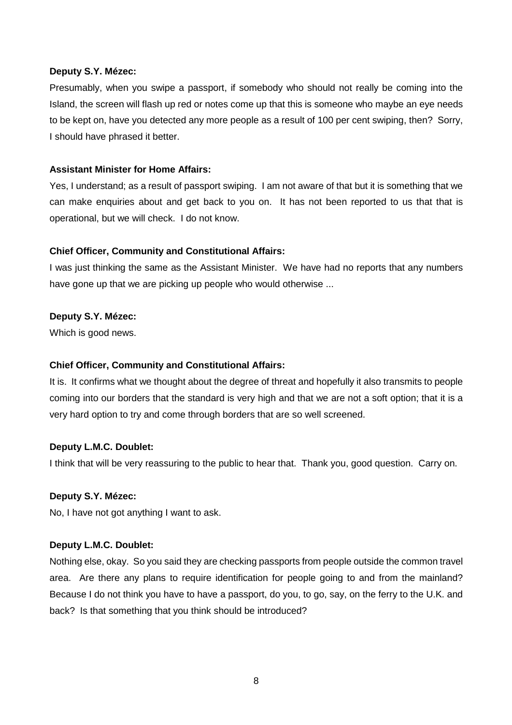#### **Deputy S.Y. Mézec:**

Presumably, when you swipe a passport, if somebody who should not really be coming into the Island, the screen will flash up red or notes come up that this is someone who maybe an eye needs to be kept on, have you detected any more people as a result of 100 per cent swiping, then? Sorry, I should have phrased it better.

## **Assistant Minister for Home Affairs:**

Yes, I understand; as a result of passport swiping. I am not aware of that but it is something that we can make enquiries about and get back to you on. It has not been reported to us that that is operational, but we will check. I do not know.

## **Chief Officer, Community and Constitutional Affairs:**

I was just thinking the same as the Assistant Minister. We have had no reports that any numbers have gone up that we are picking up people who would otherwise ...

## **Deputy S.Y. Mézec:**

Which is good news.

## **Chief Officer, Community and Constitutional Affairs:**

It is. It confirms what we thought about the degree of threat and hopefully it also transmits to people coming into our borders that the standard is very high and that we are not a soft option; that it is a very hard option to try and come through borders that are so well screened.

## **Deputy L.M.C. Doublet:**

I think that will be very reassuring to the public to hear that. Thank you, good question. Carry on.

## **Deputy S.Y. Mézec:**

No, I have not got anything I want to ask.

## **Deputy L.M.C. Doublet:**

Nothing else, okay. So you said they are checking passports from people outside the common travel area. Are there any plans to require identification for people going to and from the mainland? Because I do not think you have to have a passport, do you, to go, say, on the ferry to the U.K. and back? Is that something that you think should be introduced?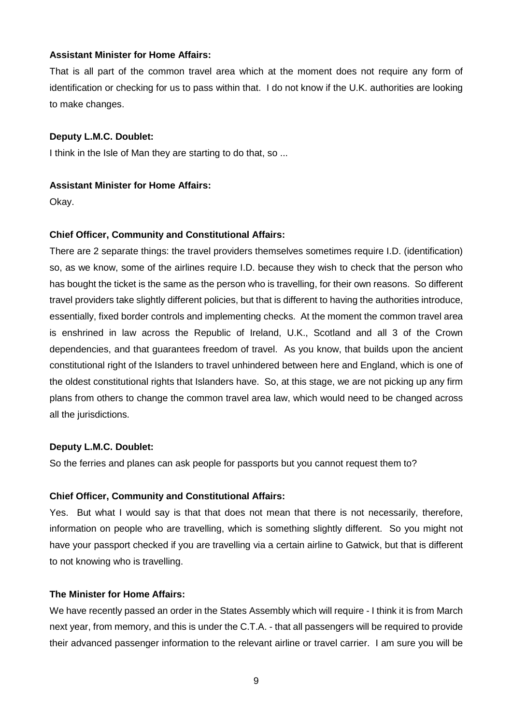## **Assistant Minister for Home Affairs:**

That is all part of the common travel area which at the moment does not require any form of identification or checking for us to pass within that. I do not know if the U.K. authorities are looking to make changes.

## **Deputy L.M.C. Doublet:**

I think in the Isle of Man they are starting to do that, so ...

## **Assistant Minister for Home Affairs:**

Okay.

## **Chief Officer, Community and Constitutional Affairs:**

There are 2 separate things: the travel providers themselves sometimes require I.D. (identification) so, as we know, some of the airlines require I.D. because they wish to check that the person who has bought the ticket is the same as the person who is travelling, for their own reasons. So different travel providers take slightly different policies, but that is different to having the authorities introduce, essentially, fixed border controls and implementing checks. At the moment the common travel area is enshrined in law across the Republic of Ireland, U.K., Scotland and all 3 of the Crown dependencies, and that guarantees freedom of travel. As you know, that builds upon the ancient constitutional right of the Islanders to travel unhindered between here and England, which is one of the oldest constitutional rights that Islanders have. So, at this stage, we are not picking up any firm plans from others to change the common travel area law, which would need to be changed across all the jurisdictions.

## **Deputy L.M.C. Doublet:**

So the ferries and planes can ask people for passports but you cannot request them to?

## **Chief Officer, Community and Constitutional Affairs:**

Yes. But what I would say is that that does not mean that there is not necessarily, therefore, information on people who are travelling, which is something slightly different. So you might not have your passport checked if you are travelling via a certain airline to Gatwick, but that is different to not knowing who is travelling.

## **The Minister for Home Affairs:**

We have recently passed an order in the States Assembly which will require - I think it is from March next year, from memory, and this is under the C.T.A. - that all passengers will be required to provide their advanced passenger information to the relevant airline or travel carrier. I am sure you will be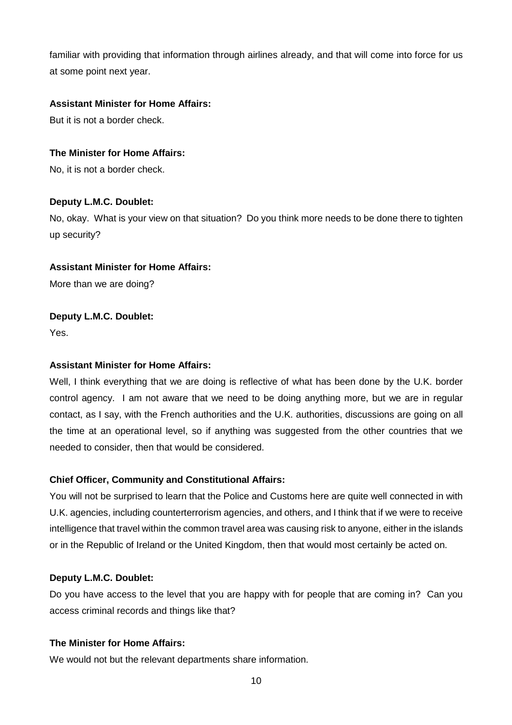familiar with providing that information through airlines already, and that will come into force for us at some point next year.

## **Assistant Minister for Home Affairs:**

But it is not a border check.

## **The Minister for Home Affairs:**

No, it is not a border check.

## **Deputy L.M.C. Doublet:**

No, okay. What is your view on that situation? Do you think more needs to be done there to tighten up security?

## **Assistant Minister for Home Affairs:**

More than we are doing?

## **Deputy L.M.C. Doublet:**

Yes.

## **Assistant Minister for Home Affairs:**

Well, I think everything that we are doing is reflective of what has been done by the U.K. border control agency. I am not aware that we need to be doing anything more, but we are in regular contact, as I say, with the French authorities and the U.K. authorities, discussions are going on all the time at an operational level, so if anything was suggested from the other countries that we needed to consider, then that would be considered.

## **Chief Officer, Community and Constitutional Affairs:**

You will not be surprised to learn that the Police and Customs here are quite well connected in with U.K. agencies, including counterterrorism agencies, and others, and I think that if we were to receive intelligence that travel within the common travel area was causing risk to anyone, either in the islands or in the Republic of Ireland or the United Kingdom, then that would most certainly be acted on.

## **Deputy L.M.C. Doublet:**

Do you have access to the level that you are happy with for people that are coming in? Can you access criminal records and things like that?

## **The Minister for Home Affairs:**

We would not but the relevant departments share information.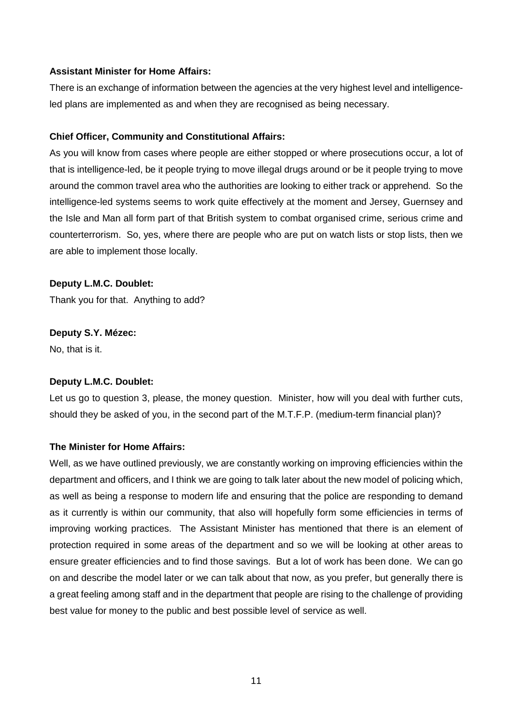## **Assistant Minister for Home Affairs:**

There is an exchange of information between the agencies at the very highest level and intelligenceled plans are implemented as and when they are recognised as being necessary.

#### **Chief Officer, Community and Constitutional Affairs:**

As you will know from cases where people are either stopped or where prosecutions occur, a lot of that is intelligence-led, be it people trying to move illegal drugs around or be it people trying to move around the common travel area who the authorities are looking to either track or apprehend. So the intelligence-led systems seems to work quite effectively at the moment and Jersey, Guernsey and the Isle and Man all form part of that British system to combat organised crime, serious crime and counterterrorism. So, yes, where there are people who are put on watch lists or stop lists, then we are able to implement those locally.

## **Deputy L.M.C. Doublet:**

Thank you for that. Anything to add?

#### **Deputy S.Y. Mézec:**

No, that is it.

## **Deputy L.M.C. Doublet:**

Let us go to question 3, please, the money question. Minister, how will you deal with further cuts, should they be asked of you, in the second part of the M.T.F.P. (medium-term financial plan)?

#### **The Minister for Home Affairs:**

Well, as we have outlined previously, we are constantly working on improving efficiencies within the department and officers, and I think we are going to talk later about the new model of policing which, as well as being a response to modern life and ensuring that the police are responding to demand as it currently is within our community, that also will hopefully form some efficiencies in terms of improving working practices. The Assistant Minister has mentioned that there is an element of protection required in some areas of the department and so we will be looking at other areas to ensure greater efficiencies and to find those savings. But a lot of work has been done. We can go on and describe the model later or we can talk about that now, as you prefer, but generally there is a great feeling among staff and in the department that people are rising to the challenge of providing best value for money to the public and best possible level of service as well.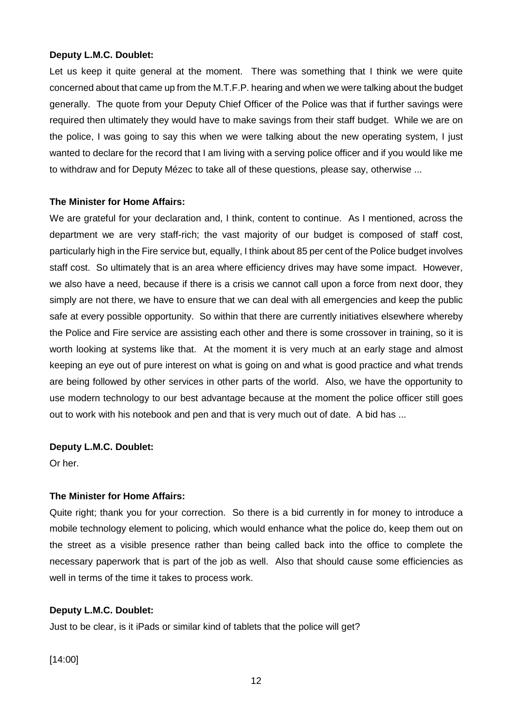Let us keep it quite general at the moment. There was something that I think we were quite concerned about that came up from the M.T.F.P. hearing and when we were talking about the budget generally. The quote from your Deputy Chief Officer of the Police was that if further savings were required then ultimately they would have to make savings from their staff budget. While we are on the police, I was going to say this when we were talking about the new operating system, I just wanted to declare for the record that I am living with a serving police officer and if you would like me to withdraw and for Deputy Mézec to take all of these questions, please say, otherwise ...

## **The Minister for Home Affairs:**

We are grateful for your declaration and, I think, content to continue. As I mentioned, across the department we are very staff-rich; the vast majority of our budget is composed of staff cost, particularly high in the Fire service but, equally, I think about 85 per cent of the Police budget involves staff cost. So ultimately that is an area where efficiency drives may have some impact. However, we also have a need, because if there is a crisis we cannot call upon a force from next door, they simply are not there, we have to ensure that we can deal with all emergencies and keep the public safe at every possible opportunity. So within that there are currently initiatives elsewhere whereby the Police and Fire service are assisting each other and there is some crossover in training, so it is worth looking at systems like that. At the moment it is very much at an early stage and almost keeping an eye out of pure interest on what is going on and what is good practice and what trends are being followed by other services in other parts of the world. Also, we have the opportunity to use modern technology to our best advantage because at the moment the police officer still goes out to work with his notebook and pen and that is very much out of date. A bid has ...

## **Deputy L.M.C. Doublet:**

Or her.

## **The Minister for Home Affairs:**

Quite right; thank you for your correction. So there is a bid currently in for money to introduce a mobile technology element to policing, which would enhance what the police do, keep them out on the street as a visible presence rather than being called back into the office to complete the necessary paperwork that is part of the job as well. Also that should cause some efficiencies as well in terms of the time it takes to process work.

## **Deputy L.M.C. Doublet:**

Just to be clear, is it iPads or similar kind of tablets that the police will get?

[14:00]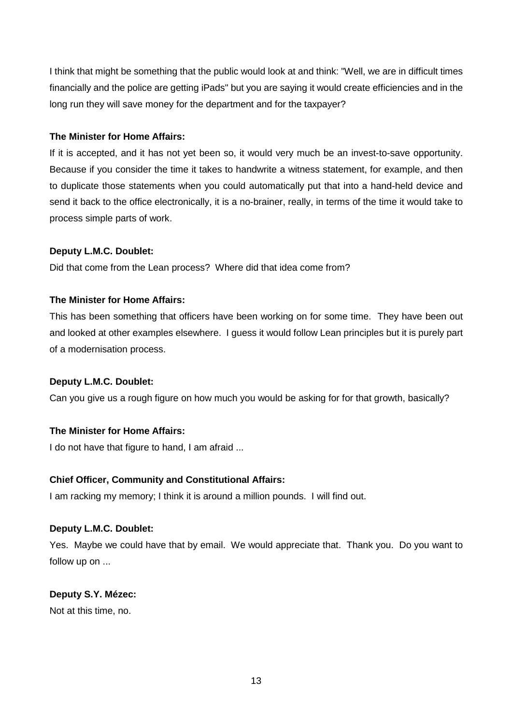I think that might be something that the public would look at and think: "Well, we are in difficult times financially and the police are getting iPads" but you are saying it would create efficiencies and in the long run they will save money for the department and for the taxpayer?

## **The Minister for Home Affairs:**

If it is accepted, and it has not yet been so, it would very much be an invest-to-save opportunity. Because if you consider the time it takes to handwrite a witness statement, for example, and then to duplicate those statements when you could automatically put that into a hand-held device and send it back to the office electronically, it is a no-brainer, really, in terms of the time it would take to process simple parts of work.

## **Deputy L.M.C. Doublet:**

Did that come from the Lean process? Where did that idea come from?

## **The Minister for Home Affairs:**

This has been something that officers have been working on for some time. They have been out and looked at other examples elsewhere. I guess it would follow Lean principles but it is purely part of a modernisation process.

## **Deputy L.M.C. Doublet:**

Can you give us a rough figure on how much you would be asking for for that growth, basically?

## **The Minister for Home Affairs:**

I do not have that figure to hand, I am afraid ...

## **Chief Officer, Community and Constitutional Affairs:**

I am racking my memory; I think it is around a million pounds. I will find out.

## **Deputy L.M.C. Doublet:**

Yes. Maybe we could have that by email. We would appreciate that. Thank you. Do you want to follow up on ...

## **Deputy S.Y. Mézec:**

Not at this time, no.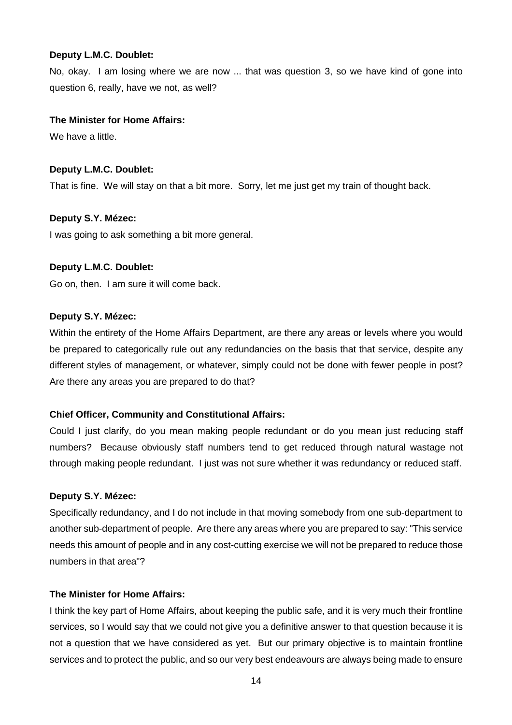No, okay. I am losing where we are now ... that was question 3, so we have kind of gone into question 6, really, have we not, as well?

#### **The Minister for Home Affairs:**

We have a little.

#### **Deputy L.M.C. Doublet:**

That is fine. We will stay on that a bit more. Sorry, let me just get my train of thought back.

#### **Deputy S.Y. Mézec:**

I was going to ask something a bit more general.

#### **Deputy L.M.C. Doublet:**

Go on, then. I am sure it will come back.

#### **Deputy S.Y. Mézec:**

Within the entirety of the Home Affairs Department, are there any areas or levels where you would be prepared to categorically rule out any redundancies on the basis that that service, despite any different styles of management, or whatever, simply could not be done with fewer people in post? Are there any areas you are prepared to do that?

## **Chief Officer, Community and Constitutional Affairs:**

Could I just clarify, do you mean making people redundant or do you mean just reducing staff numbers? Because obviously staff numbers tend to get reduced through natural wastage not through making people redundant. I just was not sure whether it was redundancy or reduced staff.

#### **Deputy S.Y. Mézec:**

Specifically redundancy, and I do not include in that moving somebody from one sub-department to another sub-department of people. Are there any areas where you are prepared to say: "This service needs this amount of people and in any cost-cutting exercise we will not be prepared to reduce those numbers in that area"?

#### **The Minister for Home Affairs:**

I think the key part of Home Affairs, about keeping the public safe, and it is very much their frontline services, so I would say that we could not give you a definitive answer to that question because it is not a question that we have considered as yet. But our primary objective is to maintain frontline services and to protect the public, and so our very best endeavours are always being made to ensure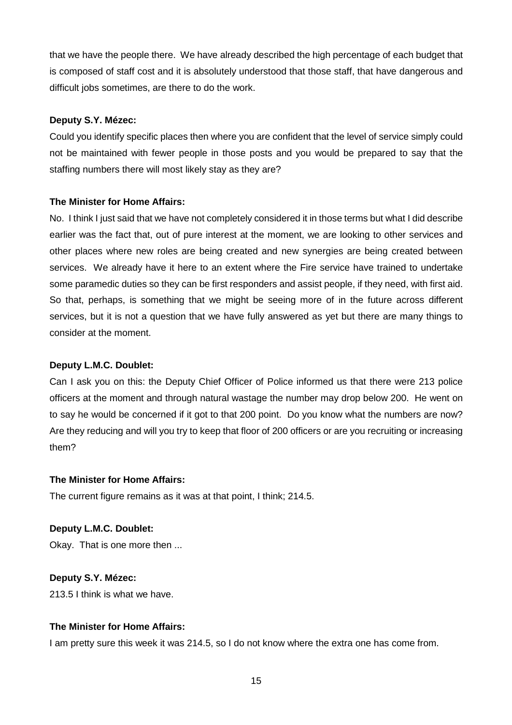that we have the people there. We have already described the high percentage of each budget that is composed of staff cost and it is absolutely understood that those staff, that have dangerous and difficult jobs sometimes, are there to do the work.

## **Deputy S.Y. Mézec:**

Could you identify specific places then where you are confident that the level of service simply could not be maintained with fewer people in those posts and you would be prepared to say that the staffing numbers there will most likely stay as they are?

#### **The Minister for Home Affairs:**

No. I think I just said that we have not completely considered it in those terms but what I did describe earlier was the fact that, out of pure interest at the moment, we are looking to other services and other places where new roles are being created and new synergies are being created between services. We already have it here to an extent where the Fire service have trained to undertake some paramedic duties so they can be first responders and assist people, if they need, with first aid. So that, perhaps, is something that we might be seeing more of in the future across different services, but it is not a question that we have fully answered as yet but there are many things to consider at the moment.

#### **Deputy L.M.C. Doublet:**

Can I ask you on this: the Deputy Chief Officer of Police informed us that there were 213 police officers at the moment and through natural wastage the number may drop below 200. He went on to say he would be concerned if it got to that 200 point. Do you know what the numbers are now? Are they reducing and will you try to keep that floor of 200 officers or are you recruiting or increasing them?

#### **The Minister for Home Affairs:**

The current figure remains as it was at that point, I think; 214.5.

#### **Deputy L.M.C. Doublet:**

Okay. That is one more then ...

## **Deputy S.Y. Mézec:**

213.5 I think is what we have.

## **The Minister for Home Affairs:**

I am pretty sure this week it was 214.5, so I do not know where the extra one has come from.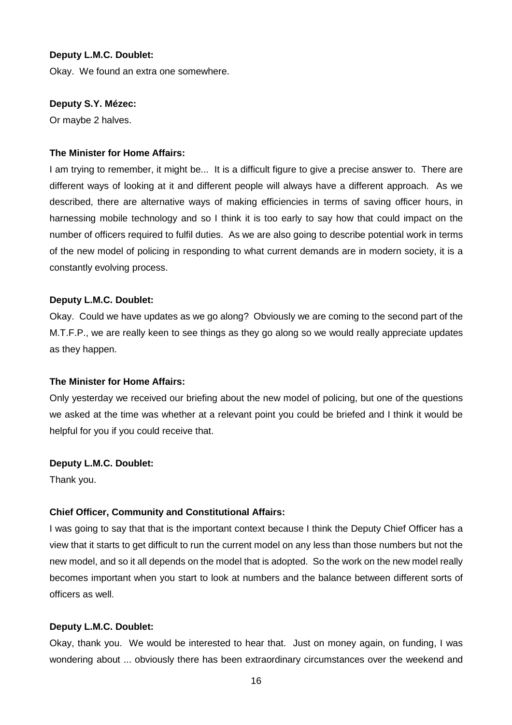Okay. We found an extra one somewhere.

#### **Deputy S.Y. Mézec:**

Or maybe 2 halves.

#### **The Minister for Home Affairs:**

I am trying to remember, it might be... It is a difficult figure to give a precise answer to. There are different ways of looking at it and different people will always have a different approach. As we described, there are alternative ways of making efficiencies in terms of saving officer hours, in harnessing mobile technology and so I think it is too early to say how that could impact on the number of officers required to fulfil duties. As we are also going to describe potential work in terms of the new model of policing in responding to what current demands are in modern society, it is a constantly evolving process.

#### **Deputy L.M.C. Doublet:**

Okay. Could we have updates as we go along? Obviously we are coming to the second part of the M.T.F.P., we are really keen to see things as they go along so we would really appreciate updates as they happen.

#### **The Minister for Home Affairs:**

Only yesterday we received our briefing about the new model of policing, but one of the questions we asked at the time was whether at a relevant point you could be briefed and I think it would be helpful for you if you could receive that.

#### **Deputy L.M.C. Doublet:**

Thank you.

#### **Chief Officer, Community and Constitutional Affairs:**

I was going to say that that is the important context because I think the Deputy Chief Officer has a view that it starts to get difficult to run the current model on any less than those numbers but not the new model, and so it all depends on the model that is adopted. So the work on the new model really becomes important when you start to look at numbers and the balance between different sorts of officers as well.

#### **Deputy L.M.C. Doublet:**

Okay, thank you. We would be interested to hear that. Just on money again, on funding, I was wondering about ... obviously there has been extraordinary circumstances over the weekend and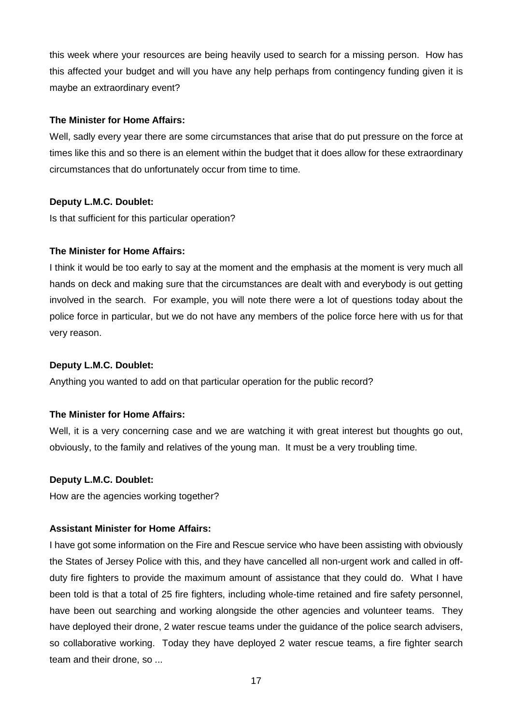this week where your resources are being heavily used to search for a missing person. How has this affected your budget and will you have any help perhaps from contingency funding given it is maybe an extraordinary event?

## **The Minister for Home Affairs:**

Well, sadly every year there are some circumstances that arise that do put pressure on the force at times like this and so there is an element within the budget that it does allow for these extraordinary circumstances that do unfortunately occur from time to time.

## **Deputy L.M.C. Doublet:**

Is that sufficient for this particular operation?

## **The Minister for Home Affairs:**

I think it would be too early to say at the moment and the emphasis at the moment is very much all hands on deck and making sure that the circumstances are dealt with and everybody is out getting involved in the search. For example, you will note there were a lot of questions today about the police force in particular, but we do not have any members of the police force here with us for that very reason.

#### **Deputy L.M.C. Doublet:**

Anything you wanted to add on that particular operation for the public record?

## **The Minister for Home Affairs:**

Well, it is a very concerning case and we are watching it with great interest but thoughts go out, obviously, to the family and relatives of the young man. It must be a very troubling time.

#### **Deputy L.M.C. Doublet:**

How are the agencies working together?

## **Assistant Minister for Home Affairs:**

I have got some information on the Fire and Rescue service who have been assisting with obviously the States of Jersey Police with this, and they have cancelled all non-urgent work and called in offduty fire fighters to provide the maximum amount of assistance that they could do. What I have been told is that a total of 25 fire fighters, including whole-time retained and fire safety personnel, have been out searching and working alongside the other agencies and volunteer teams. They have deployed their drone, 2 water rescue teams under the guidance of the police search advisers, so collaborative working. Today they have deployed 2 water rescue teams, a fire fighter search team and their drone, so ...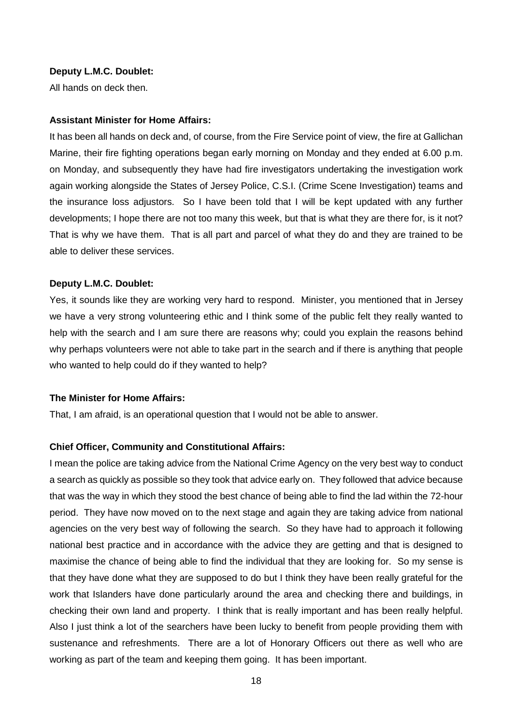All hands on deck then.

#### **Assistant Minister for Home Affairs:**

It has been all hands on deck and, of course, from the Fire Service point of view, the fire at Gallichan Marine, their fire fighting operations began early morning on Monday and they ended at 6.00 p.m. on Monday, and subsequently they have had fire investigators undertaking the investigation work again working alongside the States of Jersey Police, C.S.I. (Crime Scene Investigation) teams and the insurance loss adjustors. So I have been told that I will be kept updated with any further developments; I hope there are not too many this week, but that is what they are there for, is it not? That is why we have them. That is all part and parcel of what they do and they are trained to be able to deliver these services.

#### **Deputy L.M.C. Doublet:**

Yes, it sounds like they are working very hard to respond. Minister, you mentioned that in Jersey we have a very strong volunteering ethic and I think some of the public felt they really wanted to help with the search and I am sure there are reasons why; could you explain the reasons behind why perhaps volunteers were not able to take part in the search and if there is anything that people who wanted to help could do if they wanted to help?

#### **The Minister for Home Affairs:**

That, I am afraid, is an operational question that I would not be able to answer.

#### **Chief Officer, Community and Constitutional Affairs:**

I mean the police are taking advice from the National Crime Agency on the very best way to conduct a search as quickly as possible so they took that advice early on. They followed that advice because that was the way in which they stood the best chance of being able to find the lad within the 72-hour period. They have now moved on to the next stage and again they are taking advice from national agencies on the very best way of following the search. So they have had to approach it following national best practice and in accordance with the advice they are getting and that is designed to maximise the chance of being able to find the individual that they are looking for. So my sense is that they have done what they are supposed to do but I think they have been really grateful for the work that Islanders have done particularly around the area and checking there and buildings, in checking their own land and property. I think that is really important and has been really helpful. Also I just think a lot of the searchers have been lucky to benefit from people providing them with sustenance and refreshments. There are a lot of Honorary Officers out there as well who are working as part of the team and keeping them going. It has been important.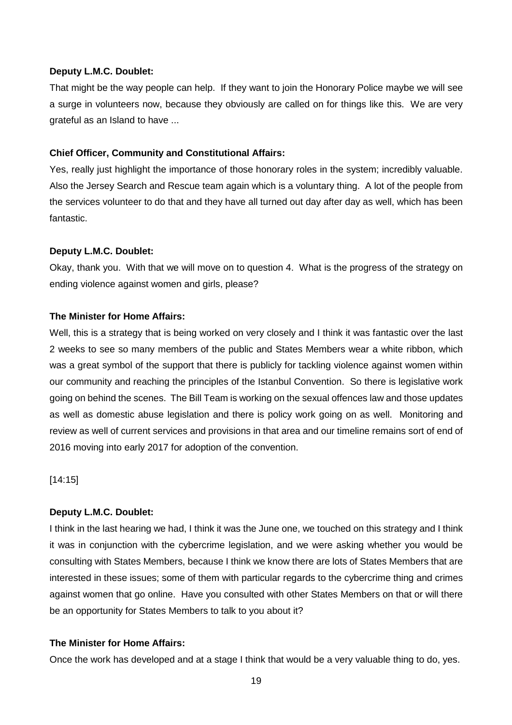That might be the way people can help. If they want to join the Honorary Police maybe we will see a surge in volunteers now, because they obviously are called on for things like this. We are very grateful as an Island to have ...

## **Chief Officer, Community and Constitutional Affairs:**

Yes, really just highlight the importance of those honorary roles in the system; incredibly valuable. Also the Jersey Search and Rescue team again which is a voluntary thing. A lot of the people from the services volunteer to do that and they have all turned out day after day as well, which has been fantastic.

## **Deputy L.M.C. Doublet:**

Okay, thank you. With that we will move on to question 4. What is the progress of the strategy on ending violence against women and girls, please?

## **The Minister for Home Affairs:**

Well, this is a strategy that is being worked on very closely and I think it was fantastic over the last 2 weeks to see so many members of the public and States Members wear a white ribbon, which was a great symbol of the support that there is publicly for tackling violence against women within our community and reaching the principles of the Istanbul Convention. So there is legislative work going on behind the scenes. The Bill Team is working on the sexual offences law and those updates as well as domestic abuse legislation and there is policy work going on as well. Monitoring and review as well of current services and provisions in that area and our timeline remains sort of end of 2016 moving into early 2017 for adoption of the convention.

[14:15]

## **Deputy L.M.C. Doublet:**

I think in the last hearing we had, I think it was the June one, we touched on this strategy and I think it was in conjunction with the cybercrime legislation, and we were asking whether you would be consulting with States Members, because I think we know there are lots of States Members that are interested in these issues; some of them with particular regards to the cybercrime thing and crimes against women that go online. Have you consulted with other States Members on that or will there be an opportunity for States Members to talk to you about it?

## **The Minister for Home Affairs:**

Once the work has developed and at a stage I think that would be a very valuable thing to do, yes.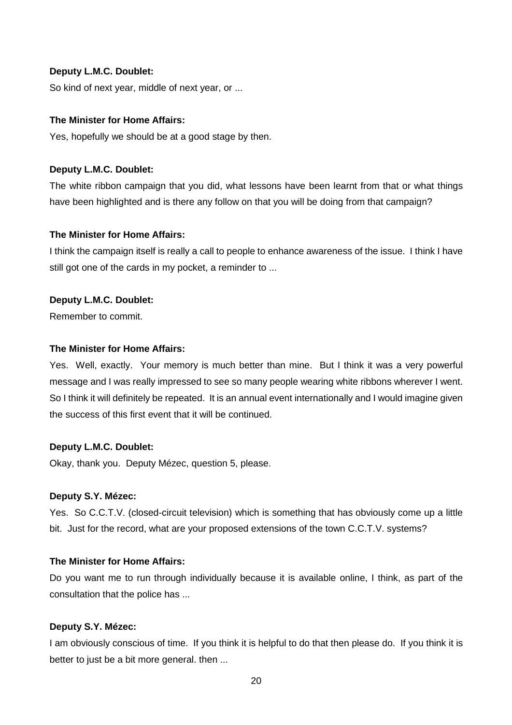So kind of next year, middle of next year, or ...

## **The Minister for Home Affairs:**

Yes, hopefully we should be at a good stage by then.

#### **Deputy L.M.C. Doublet:**

The white ribbon campaign that you did, what lessons have been learnt from that or what things have been highlighted and is there any follow on that you will be doing from that campaign?

#### **The Minister for Home Affairs:**

I think the campaign itself is really a call to people to enhance awareness of the issue. I think I have still got one of the cards in my pocket, a reminder to ...

#### **Deputy L.M.C. Doublet:**

Remember to commit.

#### **The Minister for Home Affairs:**

Yes. Well, exactly. Your memory is much better than mine. But I think it was a very powerful message and I was really impressed to see so many people wearing white ribbons wherever I went. So I think it will definitely be repeated. It is an annual event internationally and I would imagine given the success of this first event that it will be continued.

## **Deputy L.M.C. Doublet:**

Okay, thank you. Deputy Mézec, question 5, please.

#### **Deputy S.Y. Mézec:**

Yes. So C.C.T.V. (closed-circuit television) which is something that has obviously come up a little bit. Just for the record, what are your proposed extensions of the town C.C.T.V. systems?

## **The Minister for Home Affairs:**

Do you want me to run through individually because it is available online, I think, as part of the consultation that the police has ...

#### **Deputy S.Y. Mézec:**

I am obviously conscious of time. If you think it is helpful to do that then please do. If you think it is better to just be a bit more general. then ...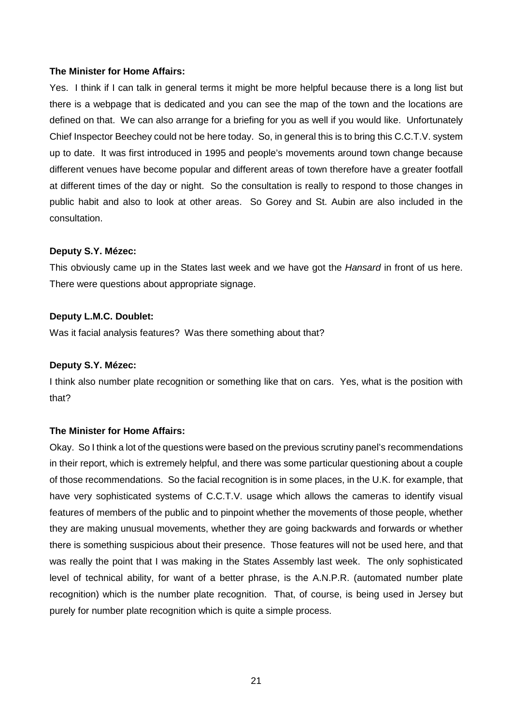#### **The Minister for Home Affairs:**

Yes. I think if I can talk in general terms it might be more helpful because there is a long list but there is a webpage that is dedicated and you can see the map of the town and the locations are defined on that. We can also arrange for a briefing for you as well if you would like. Unfortunately Chief Inspector Beechey could not be here today. So, in general this is to bring this C.C.T.V. system up to date. It was first introduced in 1995 and people's movements around town change because different venues have become popular and different areas of town therefore have a greater footfall at different times of the day or night. So the consultation is really to respond to those changes in public habit and also to look at other areas. So Gorey and St. Aubin are also included in the consultation.

## **Deputy S.Y. Mézec:**

This obviously came up in the States last week and we have got the *Hansard* in front of us here. There were questions about appropriate signage.

## **Deputy L.M.C. Doublet:**

Was it facial analysis features? Was there something about that?

## **Deputy S.Y. Mézec:**

I think also number plate recognition or something like that on cars. Yes, what is the position with that?

## **The Minister for Home Affairs:**

Okay. So I think a lot of the questions were based on the previous scrutiny panel's recommendations in their report, which is extremely helpful, and there was some particular questioning about a couple of those recommendations. So the facial recognition is in some places, in the U.K. for example, that have very sophisticated systems of C.C.T.V. usage which allows the cameras to identify visual features of members of the public and to pinpoint whether the movements of those people, whether they are making unusual movements, whether they are going backwards and forwards or whether there is something suspicious about their presence. Those features will not be used here, and that was really the point that I was making in the States Assembly last week. The only sophisticated level of technical ability, for want of a better phrase, is the A.N.P.R. (automated number plate recognition) which is the number plate recognition. That, of course, is being used in Jersey but purely for number plate recognition which is quite a simple process.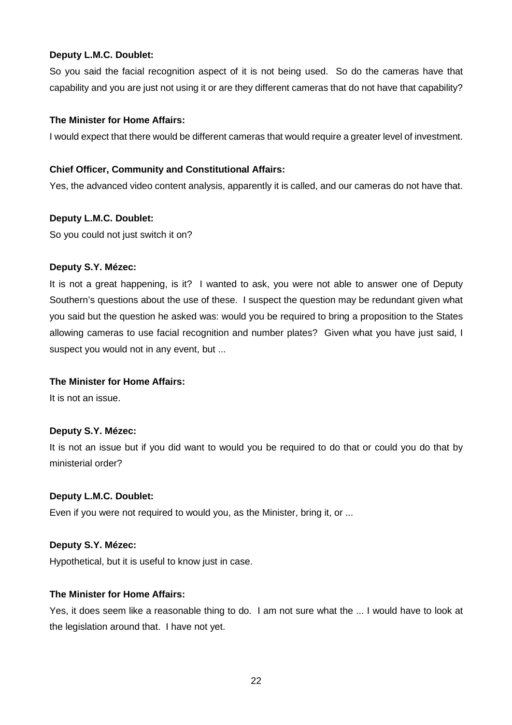So you said the facial recognition aspect of it is not being used. So do the cameras have that capability and you are just not using it or are they different cameras that do not have that capability?

## **The Minister for Home Affairs:**

I would expect that there would be different cameras that would require a greater level of investment.

## **Chief Officer, Community and Constitutional Affairs:**

Yes, the advanced video content analysis, apparently it is called, and our cameras do not have that.

## **Deputy L.M.C. Doublet:**

So you could not just switch it on?

## **Deputy S.Y. Mézec:**

It is not a great happening, is it? I wanted to ask, you were not able to answer one of Deputy Southern's questions about the use of these. I suspect the question may be redundant given what you said but the question he asked was: would you be required to bring a proposition to the States allowing cameras to use facial recognition and number plates? Given what you have just said, I suspect you would not in any event, but ...

## **The Minister for Home Affairs:**

It is not an issue.

## **Deputy S.Y. Mézec:**

It is not an issue but if you did want to would you be required to do that or could you do that by ministerial order?

## **Deputy L.M.C. Doublet:**

Even if you were not required to would you, as the Minister, bring it, or ...

## **Deputy S.Y. Mézec:**

Hypothetical, but it is useful to know just in case.

## **The Minister for Home Affairs:**

Yes, it does seem like a reasonable thing to do. I am not sure what the ... I would have to look at the legislation around that. I have not yet.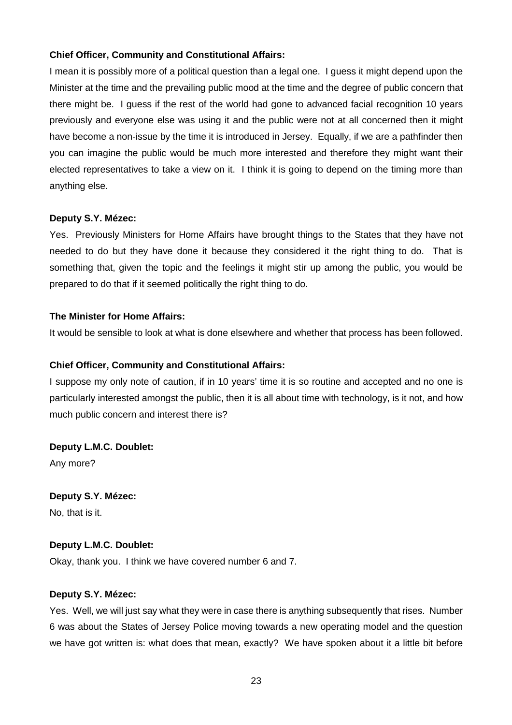## **Chief Officer, Community and Constitutional Affairs:**

I mean it is possibly more of a political question than a legal one. I guess it might depend upon the Minister at the time and the prevailing public mood at the time and the degree of public concern that there might be. I guess if the rest of the world had gone to advanced facial recognition 10 years previously and everyone else was using it and the public were not at all concerned then it might have become a non-issue by the time it is introduced in Jersey. Equally, if we are a pathfinder then you can imagine the public would be much more interested and therefore they might want their elected representatives to take a view on it. I think it is going to depend on the timing more than anything else.

## **Deputy S.Y. Mézec:**

Yes. Previously Ministers for Home Affairs have brought things to the States that they have not needed to do but they have done it because they considered it the right thing to do. That is something that, given the topic and the feelings it might stir up among the public, you would be prepared to do that if it seemed politically the right thing to do.

## **The Minister for Home Affairs:**

It would be sensible to look at what is done elsewhere and whether that process has been followed.

## **Chief Officer, Community and Constitutional Affairs:**

I suppose my only note of caution, if in 10 years' time it is so routine and accepted and no one is particularly interested amongst the public, then it is all about time with technology, is it not, and how much public concern and interest there is?

**Deputy L.M.C. Doublet:**  Any more?

**Deputy S.Y. Mézec:**  No, that is it.

## **Deputy L.M.C. Doublet:**

Okay, thank you. I think we have covered number 6 and 7.

## **Deputy S.Y. Mézec:**

Yes. Well, we will just say what they were in case there is anything subsequently that rises. Number 6 was about the States of Jersey Police moving towards a new operating model and the question we have got written is: what does that mean, exactly? We have spoken about it a little bit before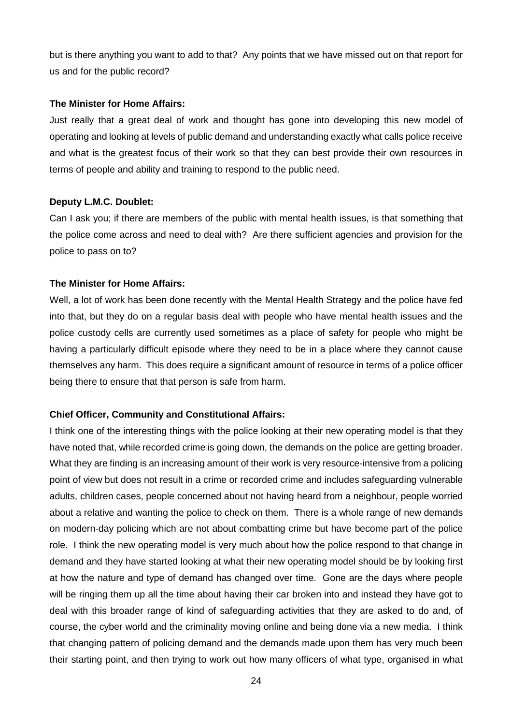but is there anything you want to add to that? Any points that we have missed out on that report for us and for the public record?

#### **The Minister for Home Affairs:**

Just really that a great deal of work and thought has gone into developing this new model of operating and looking at levels of public demand and understanding exactly what calls police receive and what is the greatest focus of their work so that they can best provide their own resources in terms of people and ability and training to respond to the public need.

#### **Deputy L.M.C. Doublet:**

Can I ask you; if there are members of the public with mental health issues, is that something that the police come across and need to deal with? Are there sufficient agencies and provision for the police to pass on to?

#### **The Minister for Home Affairs:**

Well, a lot of work has been done recently with the Mental Health Strategy and the police have fed into that, but they do on a regular basis deal with people who have mental health issues and the police custody cells are currently used sometimes as a place of safety for people who might be having a particularly difficult episode where they need to be in a place where they cannot cause themselves any harm. This does require a significant amount of resource in terms of a police officer being there to ensure that that person is safe from harm.

## **Chief Officer, Community and Constitutional Affairs:**

I think one of the interesting things with the police looking at their new operating model is that they have noted that, while recorded crime is going down, the demands on the police are getting broader. What they are finding is an increasing amount of their work is very resource-intensive from a policing point of view but does not result in a crime or recorded crime and includes safeguarding vulnerable adults, children cases, people concerned about not having heard from a neighbour, people worried about a relative and wanting the police to check on them. There is a whole range of new demands on modern-day policing which are not about combatting crime but have become part of the police role. I think the new operating model is very much about how the police respond to that change in demand and they have started looking at what their new operating model should be by looking first at how the nature and type of demand has changed over time. Gone are the days where people will be ringing them up all the time about having their car broken into and instead they have got to deal with this broader range of kind of safeguarding activities that they are asked to do and, of course, the cyber world and the criminality moving online and being done via a new media. I think that changing pattern of policing demand and the demands made upon them has very much been their starting point, and then trying to work out how many officers of what type, organised in what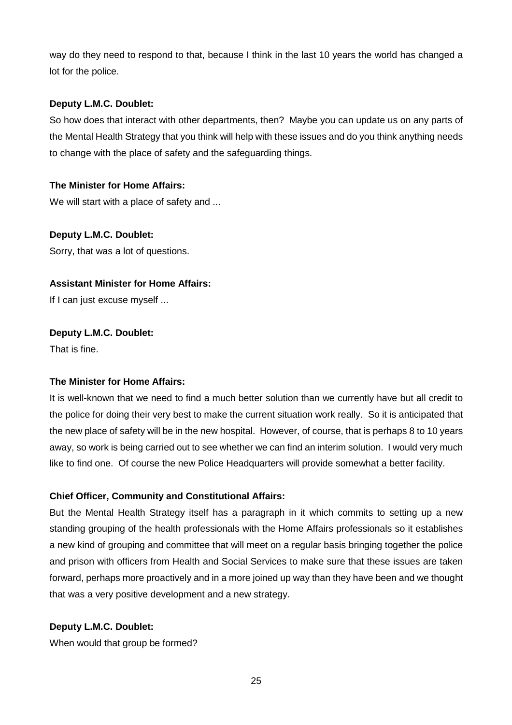way do they need to respond to that, because I think in the last 10 years the world has changed a lot for the police.

## **Deputy L.M.C. Doublet:**

So how does that interact with other departments, then? Maybe you can update us on any parts of the Mental Health Strategy that you think will help with these issues and do you think anything needs to change with the place of safety and the safeguarding things.

## **The Minister for Home Affairs:**

We will start with a place of safety and ...

**Deputy L.M.C. Doublet:**  Sorry, that was a lot of questions.

## **Assistant Minister for Home Affairs:**

If I can just excuse myself ...

## **Deputy L.M.C. Doublet:**

That is fine.

## **The Minister for Home Affairs:**

It is well-known that we need to find a much better solution than we currently have but all credit to the police for doing their very best to make the current situation work really. So it is anticipated that the new place of safety will be in the new hospital. However, of course, that is perhaps 8 to 10 years away, so work is being carried out to see whether we can find an interim solution. I would very much like to find one. Of course the new Police Headquarters will provide somewhat a better facility.

## **Chief Officer, Community and Constitutional Affairs:**

But the Mental Health Strategy itself has a paragraph in it which commits to setting up a new standing grouping of the health professionals with the Home Affairs professionals so it establishes a new kind of grouping and committee that will meet on a regular basis bringing together the police and prison with officers from Health and Social Services to make sure that these issues are taken forward, perhaps more proactively and in a more joined up way than they have been and we thought that was a very positive development and a new strategy.

## **Deputy L.M.C. Doublet:**

When would that group be formed?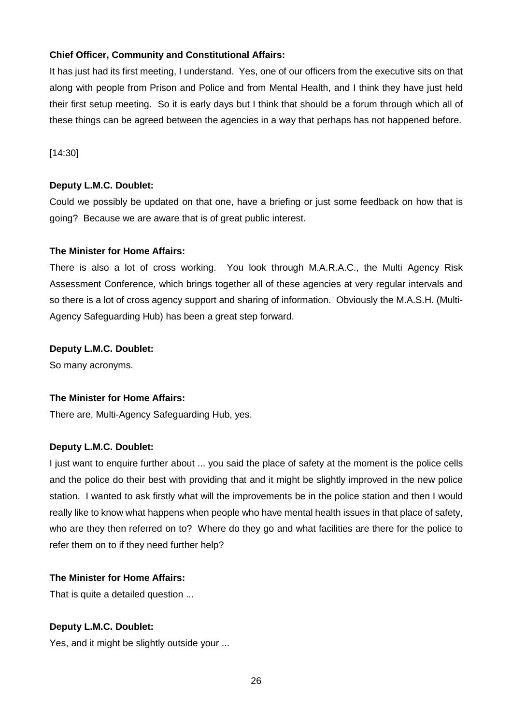## **Chief Officer, Community and Constitutional Affairs:**

It has just had its first meeting, I understand. Yes, one of our officers from the executive sits on that along with people from Prison and Police and from Mental Health, and I think they have just held their first setup meeting. So it is early days but I think that should be a forum through which all of these things can be agreed between the agencies in a way that perhaps has not happened before.

[14:30]

## **Deputy L.M.C. Doublet:**

Could we possibly be updated on that one, have a briefing or just some feedback on how that is going? Because we are aware that is of great public interest.

## **The Minister for Home Affairs:**

There is also a lot of cross working. You look through M.A.R.A.C., the Multi Agency Risk Assessment Conference, which brings together all of these agencies at very regular intervals and so there is a lot of cross agency support and sharing of information. Obviously the M.A.S.H. (Multi-Agency Safeguarding Hub) has been a great step forward.

## **Deputy L.M.C. Doublet:**

So many acronyms.

## **The Minister for Home Affairs:**

There are, Multi-Agency Safeguarding Hub, yes.

## **Deputy L.M.C. Doublet:**

I just want to enquire further about ... you said the place of safety at the moment is the police cells and the police do their best with providing that and it might be slightly improved in the new police station. I wanted to ask firstly what will the improvements be in the police station and then I would really like to know what happens when people who have mental health issues in that place of safety, who are they then referred on to? Where do they go and what facilities are there for the police to refer them on to if they need further help?

## **The Minister for Home Affairs:**

That is quite a detailed question ...

## **Deputy L.M.C. Doublet:**

Yes, and it might be slightly outside your ...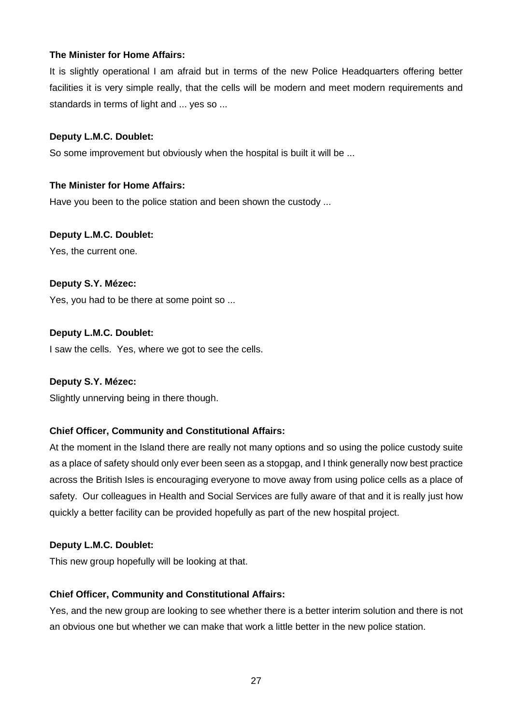## **The Minister for Home Affairs:**

It is slightly operational I am afraid but in terms of the new Police Headquarters offering better facilities it is very simple really, that the cells will be modern and meet modern requirements and standards in terms of light and ... yes so ...

## **Deputy L.M.C. Doublet:**

So some improvement but obviously when the hospital is built it will be ...

## **The Minister for Home Affairs:**

Have you been to the police station and been shown the custody ...

## **Deputy L.M.C. Doublet:**

Yes, the current one.

## **Deputy S.Y. Mézec:**

Yes, you had to be there at some point so ...

## **Deputy L.M.C. Doublet:**

I saw the cells. Yes, where we got to see the cells.

## **Deputy S.Y. Mézec:**

Slightly unnerving being in there though.

## **Chief Officer, Community and Constitutional Affairs:**

At the moment in the Island there are really not many options and so using the police custody suite as a place of safety should only ever been seen as a stopgap, and I think generally now best practice across the British Isles is encouraging everyone to move away from using police cells as a place of safety. Our colleagues in Health and Social Services are fully aware of that and it is really just how quickly a better facility can be provided hopefully as part of the new hospital project.

## **Deputy L.M.C. Doublet:**

This new group hopefully will be looking at that.

## **Chief Officer, Community and Constitutional Affairs:**

Yes, and the new group are looking to see whether there is a better interim solution and there is not an obvious one but whether we can make that work a little better in the new police station.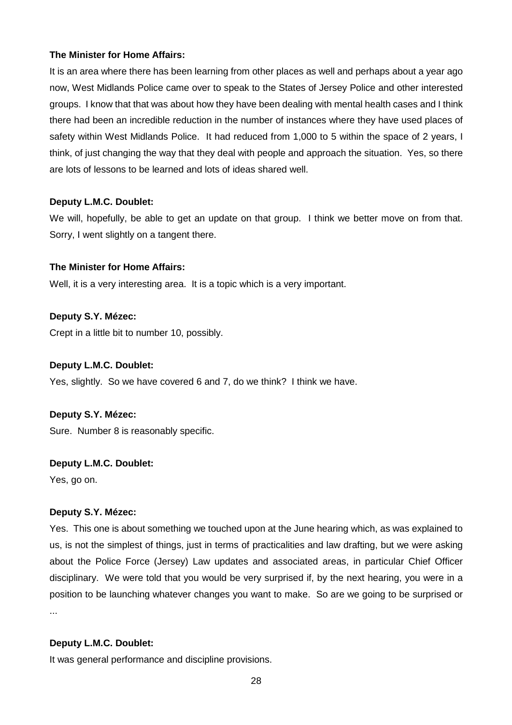## **The Minister for Home Affairs:**

It is an area where there has been learning from other places as well and perhaps about a year ago now, West Midlands Police came over to speak to the States of Jersey Police and other interested groups. I know that that was about how they have been dealing with mental health cases and I think there had been an incredible reduction in the number of instances where they have used places of safety within West Midlands Police. It had reduced from 1,000 to 5 within the space of 2 years, I think, of just changing the way that they deal with people and approach the situation. Yes, so there are lots of lessons to be learned and lots of ideas shared well.

## **Deputy L.M.C. Doublet:**

We will, hopefully, be able to get an update on that group. I think we better move on from that. Sorry, I went slightly on a tangent there.

## **The Minister for Home Affairs:**

Well, it is a very interesting area. It is a topic which is a very important.

## **Deputy S.Y. Mézec:**

Crept in a little bit to number 10, possibly.

## **Deputy L.M.C. Doublet:**

Yes, slightly. So we have covered 6 and 7, do we think? I think we have.

## **Deputy S.Y. Mézec:**

Sure. Number 8 is reasonably specific.

## **Deputy L.M.C. Doublet:**

Yes, go on.

## **Deputy S.Y. Mézec:**

Yes. This one is about something we touched upon at the June hearing which, as was explained to us, is not the simplest of things, just in terms of practicalities and law drafting, but we were asking about the Police Force (Jersey) Law updates and associated areas, in particular Chief Officer disciplinary. We were told that you would be very surprised if, by the next hearing, you were in a position to be launching whatever changes you want to make. So are we going to be surprised or ...

## **Deputy L.M.C. Doublet:**

It was general performance and discipline provisions.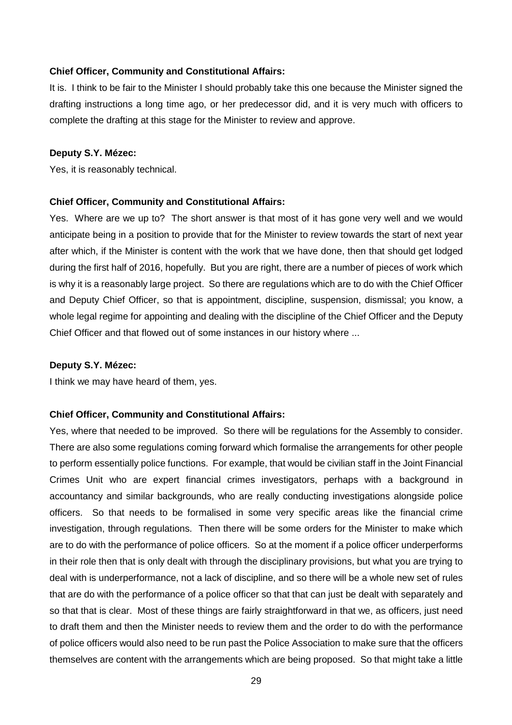#### **Chief Officer, Community and Constitutional Affairs:**

It is. I think to be fair to the Minister I should probably take this one because the Minister signed the drafting instructions a long time ago, or her predecessor did, and it is very much with officers to complete the drafting at this stage for the Minister to review and approve.

#### **Deputy S.Y. Mézec:**

Yes, it is reasonably technical.

#### **Chief Officer, Community and Constitutional Affairs:**

Yes. Where are we up to? The short answer is that most of it has gone very well and we would anticipate being in a position to provide that for the Minister to review towards the start of next year after which, if the Minister is content with the work that we have done, then that should get lodged during the first half of 2016, hopefully. But you are right, there are a number of pieces of work which is why it is a reasonably large project. So there are regulations which are to do with the Chief Officer and Deputy Chief Officer, so that is appointment, discipline, suspension, dismissal; you know, a whole legal regime for appointing and dealing with the discipline of the Chief Officer and the Deputy Chief Officer and that flowed out of some instances in our history where ...

#### **Deputy S.Y. Mézec:**

I think we may have heard of them, yes.

#### **Chief Officer, Community and Constitutional Affairs:**

Yes, where that needed to be improved. So there will be regulations for the Assembly to consider. There are also some regulations coming forward which formalise the arrangements for other people to perform essentially police functions. For example, that would be civilian staff in the Joint Financial Crimes Unit who are expert financial crimes investigators, perhaps with a background in accountancy and similar backgrounds, who are really conducting investigations alongside police officers. So that needs to be formalised in some very specific areas like the financial crime investigation, through regulations. Then there will be some orders for the Minister to make which are to do with the performance of police officers. So at the moment if a police officer underperforms in their role then that is only dealt with through the disciplinary provisions, but what you are trying to deal with is underperformance, not a lack of discipline, and so there will be a whole new set of rules that are do with the performance of a police officer so that that can just be dealt with separately and so that that is clear. Most of these things are fairly straightforward in that we, as officers, just need to draft them and then the Minister needs to review them and the order to do with the performance of police officers would also need to be run past the Police Association to make sure that the officers themselves are content with the arrangements which are being proposed. So that might take a little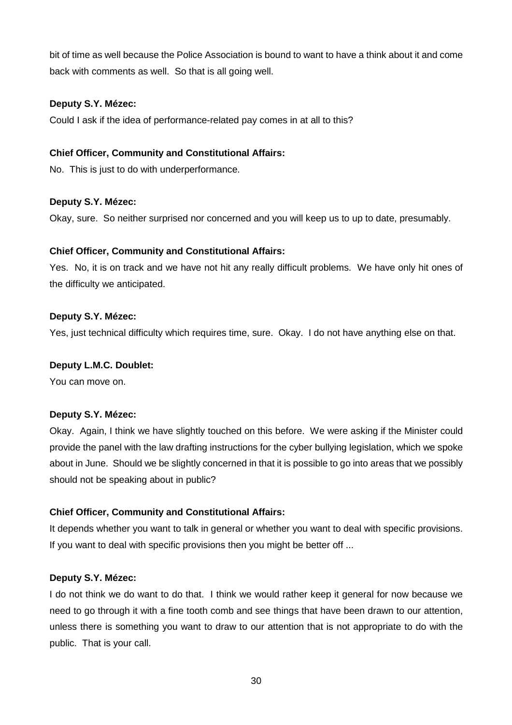bit of time as well because the Police Association is bound to want to have a think about it and come back with comments as well. So that is all going well.

## **Deputy S.Y. Mézec:**

Could I ask if the idea of performance-related pay comes in at all to this?

## **Chief Officer, Community and Constitutional Affairs:**

No. This is just to do with underperformance.

## **Deputy S.Y. Mézec:**

Okay, sure. So neither surprised nor concerned and you will keep us to up to date, presumably.

## **Chief Officer, Community and Constitutional Affairs:**

Yes. No, it is on track and we have not hit any really difficult problems. We have only hit ones of the difficulty we anticipated.

## **Deputy S.Y. Mézec:**

Yes, just technical difficulty which requires time, sure. Okay. I do not have anything else on that.

## **Deputy L.M.C. Doublet:**

You can move on.

## **Deputy S.Y. Mézec:**

Okay. Again, I think we have slightly touched on this before. We were asking if the Minister could provide the panel with the law drafting instructions for the cyber bullying legislation, which we spoke about in June. Should we be slightly concerned in that it is possible to go into areas that we possibly should not be speaking about in public?

## **Chief Officer, Community and Constitutional Affairs:**

It depends whether you want to talk in general or whether you want to deal with specific provisions. If you want to deal with specific provisions then you might be better off ...

## **Deputy S.Y. Mézec:**

I do not think we do want to do that. I think we would rather keep it general for now because we need to go through it with a fine tooth comb and see things that have been drawn to our attention, unless there is something you want to draw to our attention that is not appropriate to do with the public. That is your call.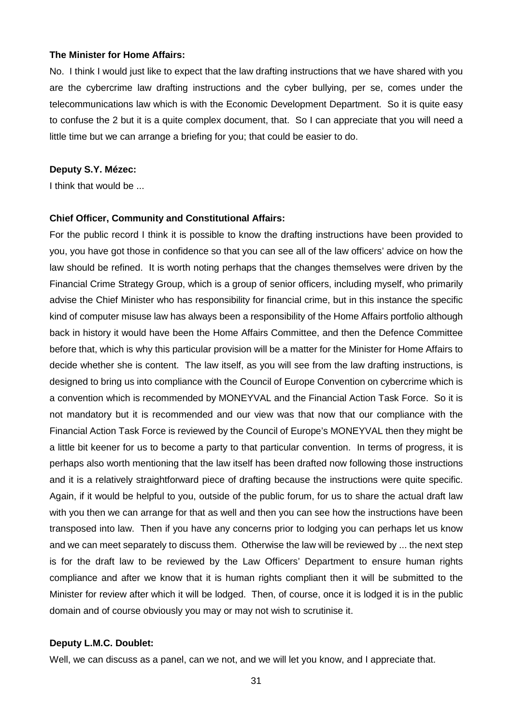#### **The Minister for Home Affairs:**

No. I think I would just like to expect that the law drafting instructions that we have shared with you are the cybercrime law drafting instructions and the cyber bullying, per se, comes under the telecommunications law which is with the Economic Development Department. So it is quite easy to confuse the 2 but it is a quite complex document, that. So I can appreciate that you will need a little time but we can arrange a briefing for you; that could be easier to do.

#### **Deputy S.Y. Mézec:**

I think that would be ...

#### **Chief Officer, Community and Constitutional Affairs:**

For the public record I think it is possible to know the drafting instructions have been provided to you, you have got those in confidence so that you can see all of the law officers' advice on how the law should be refined. It is worth noting perhaps that the changes themselves were driven by the Financial Crime Strategy Group, which is a group of senior officers, including myself, who primarily advise the Chief Minister who has responsibility for financial crime, but in this instance the specific kind of computer misuse law has always been a responsibility of the Home Affairs portfolio although back in history it would have been the Home Affairs Committee, and then the Defence Committee before that, which is why this particular provision will be a matter for the Minister for Home Affairs to decide whether she is content. The law itself, as you will see from the law drafting instructions, is designed to bring us into compliance with the Council of Europe Convention on cybercrime which is a convention which is recommended by MONEYVAL and the Financial Action Task Force. So it is not mandatory but it is recommended and our view was that now that our compliance with the Financial Action Task Force is reviewed by the Council of Europe's MONEYVAL then they might be a little bit keener for us to become a party to that particular convention. In terms of progress, it is perhaps also worth mentioning that the law itself has been drafted now following those instructions and it is a relatively straightforward piece of drafting because the instructions were quite specific. Again, if it would be helpful to you, outside of the public forum, for us to share the actual draft law with you then we can arrange for that as well and then you can see how the instructions have been transposed into law. Then if you have any concerns prior to lodging you can perhaps let us know and we can meet separately to discuss them. Otherwise the law will be reviewed by ... the next step is for the draft law to be reviewed by the Law Officers' Department to ensure human rights compliance and after we know that it is human rights compliant then it will be submitted to the Minister for review after which it will be lodged. Then, of course, once it is lodged it is in the public domain and of course obviously you may or may not wish to scrutinise it.

#### **Deputy L.M.C. Doublet:**

Well, we can discuss as a panel, can we not, and we will let you know, and I appreciate that.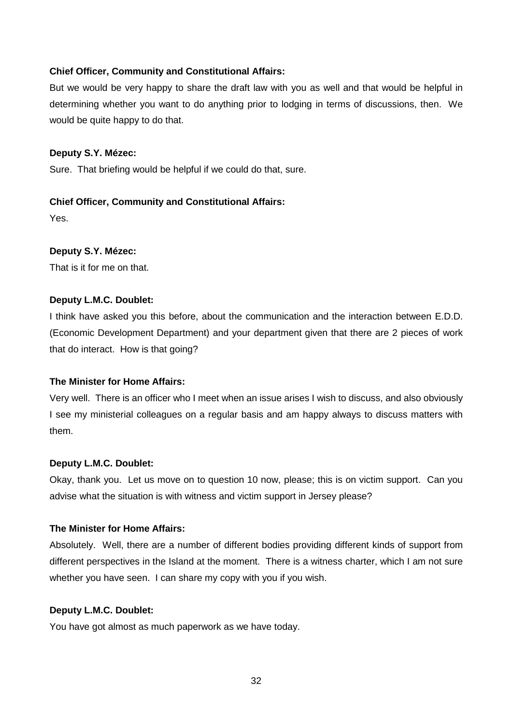## **Chief Officer, Community and Constitutional Affairs:**

But we would be very happy to share the draft law with you as well and that would be helpful in determining whether you want to do anything prior to lodging in terms of discussions, then. We would be quite happy to do that.

## **Deputy S.Y. Mézec:**

Sure. That briefing would be helpful if we could do that, sure.

## **Chief Officer, Community and Constitutional Affairs:**

Yes.

## **Deputy S.Y. Mézec:**

That is it for me on that.

## **Deputy L.M.C. Doublet:**

I think have asked you this before, about the communication and the interaction between E.D.D. (Economic Development Department) and your department given that there are 2 pieces of work that do interact. How is that going?

## **The Minister for Home Affairs:**

Very well. There is an officer who I meet when an issue arises I wish to discuss, and also obviously I see my ministerial colleagues on a regular basis and am happy always to discuss matters with them.

## **Deputy L.M.C. Doublet:**

Okay, thank you. Let us move on to question 10 now, please; this is on victim support. Can you advise what the situation is with witness and victim support in Jersey please?

## **The Minister for Home Affairs:**

Absolutely. Well, there are a number of different bodies providing different kinds of support from different perspectives in the Island at the moment. There is a witness charter, which I am not sure whether you have seen. I can share my copy with you if you wish.

## **Deputy L.M.C. Doublet:**

You have got almost as much paperwork as we have today.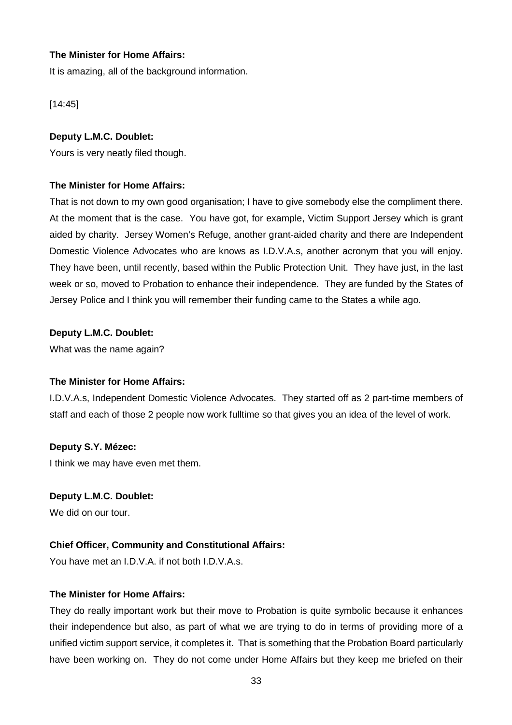## **The Minister for Home Affairs:**

It is amazing, all of the background information.

[14:45]

## **Deputy L.M.C. Doublet:**

Yours is very neatly filed though.

## **The Minister for Home Affairs:**

That is not down to my own good organisation; I have to give somebody else the compliment there. At the moment that is the case. You have got, for example, Victim Support Jersey which is grant aided by charity. Jersey Women's Refuge, another grant-aided charity and there are Independent Domestic Violence Advocates who are knows as I.D.V.A.s, another acronym that you will enjoy. They have been, until recently, based within the Public Protection Unit. They have just, in the last week or so, moved to Probation to enhance their independence. They are funded by the States of Jersey Police and I think you will remember their funding came to the States a while ago.

## **Deputy L.M.C. Doublet:**

What was the name again?

## **The Minister for Home Affairs:**

I.D.V.A.s, Independent Domestic Violence Advocates. They started off as 2 part-time members of staff and each of those 2 people now work fulltime so that gives you an idea of the level of work.

## **Deputy S.Y. Mézec:**

I think we may have even met them.

## **Deputy L.M.C. Doublet:**

We did on our tour.

## **Chief Officer, Community and Constitutional Affairs:**

You have met an I.D.V.A. if not both I.D.V.A.s.

## **The Minister for Home Affairs:**

They do really important work but their move to Probation is quite symbolic because it enhances their independence but also, as part of what we are trying to do in terms of providing more of a unified victim support service, it completes it. That is something that the Probation Board particularly have been working on. They do not come under Home Affairs but they keep me briefed on their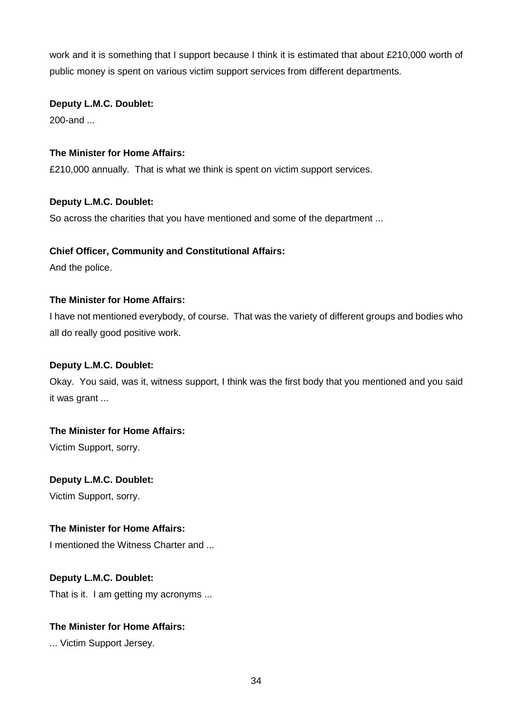work and it is something that I support because I think it is estimated that about £210,000 worth of public money is spent on various victim support services from different departments.

## **Deputy L.M.C. Doublet:**

200-and ...

## **The Minister for Home Affairs:**

£210,000 annually. That is what we think is spent on victim support services.

## **Deputy L.M.C. Doublet:**

So across the charities that you have mentioned and some of the department ...

## **Chief Officer, Community and Constitutional Affairs:**

And the police.

## **The Minister for Home Affairs:**

I have not mentioned everybody, of course. That was the variety of different groups and bodies who all do really good positive work.

## **Deputy L.M.C. Doublet:**

Okay. You said, was it, witness support, I think was the first body that you mentioned and you said it was grant ...

## **The Minister for Home Affairs:**

Victim Support, sorry.

## **Deputy L.M.C. Doublet:**

Victim Support, sorry.

## **The Minister for Home Affairs:**

I mentioned the Witness Charter and ...

## **Deputy L.M.C. Doublet:**

That is it. I am getting my acronyms ...

## **The Minister for Home Affairs:**

... Victim Support Jersey.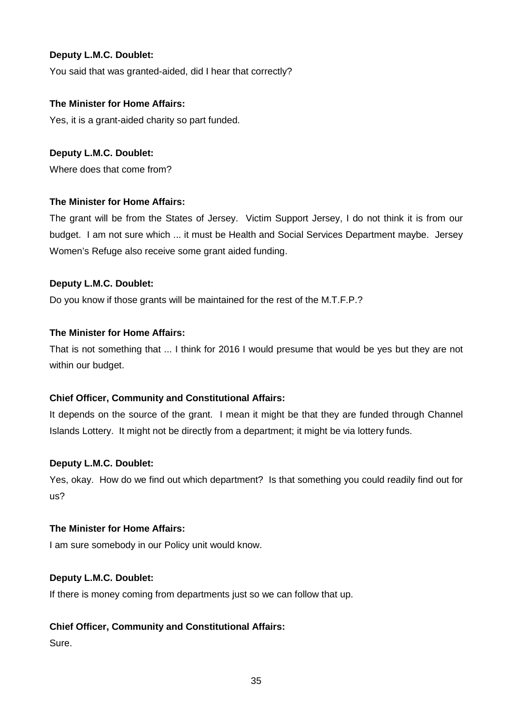You said that was granted-aided, did I hear that correctly?

## **The Minister for Home Affairs:**

Yes, it is a grant-aided charity so part funded.

## **Deputy L.M.C. Doublet:**

Where does that come from?

## **The Minister for Home Affairs:**

The grant will be from the States of Jersey. Victim Support Jersey, I do not think it is from our budget. I am not sure which ... it must be Health and Social Services Department maybe. Jersey Women's Refuge also receive some grant aided funding.

## **Deputy L.M.C. Doublet:**

Do you know if those grants will be maintained for the rest of the M.T.F.P.?

## **The Minister for Home Affairs:**

That is not something that ... I think for 2016 I would presume that would be yes but they are not within our budget.

## **Chief Officer, Community and Constitutional Affairs:**

It depends on the source of the grant. I mean it might be that they are funded through Channel Islands Lottery. It might not be directly from a department; it might be via lottery funds.

## **Deputy L.M.C. Doublet:**

Yes, okay. How do we find out which department? Is that something you could readily find out for us?

## **The Minister for Home Affairs:**

I am sure somebody in our Policy unit would know.

## **Deputy L.M.C. Doublet:**

If there is money coming from departments just so we can follow that up.

## **Chief Officer, Community and Constitutional Affairs:**

Sure.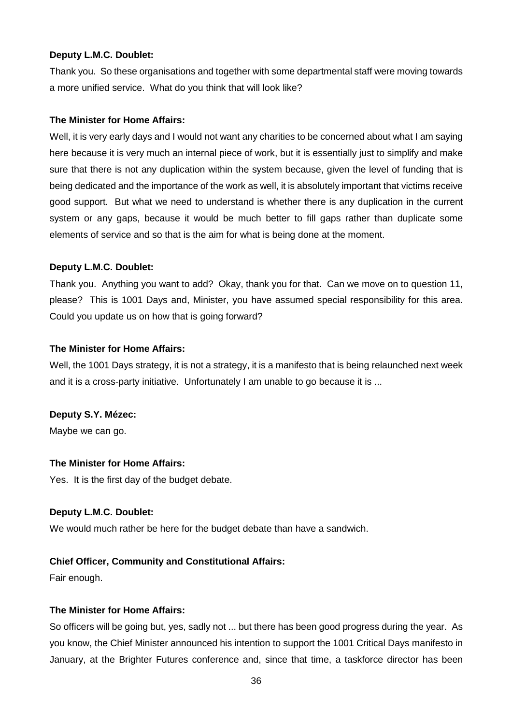Thank you. So these organisations and together with some departmental staff were moving towards a more unified service. What do you think that will look like?

## **The Minister for Home Affairs:**

Well, it is very early days and I would not want any charities to be concerned about what I am saying here because it is very much an internal piece of work, but it is essentially just to simplify and make sure that there is not any duplication within the system because, given the level of funding that is being dedicated and the importance of the work as well, it is absolutely important that victims receive good support. But what we need to understand is whether there is any duplication in the current system or any gaps, because it would be much better to fill gaps rather than duplicate some elements of service and so that is the aim for what is being done at the moment.

## **Deputy L.M.C. Doublet:**

Thank you. Anything you want to add? Okay, thank you for that. Can we move on to question 11, please? This is 1001 Days and, Minister, you have assumed special responsibility for this area. Could you update us on how that is going forward?

## **The Minister for Home Affairs:**

Well, the 1001 Days strategy, it is not a strategy, it is a manifesto that is being relaunched next week and it is a cross-party initiative. Unfortunately I am unable to go because it is ...

## **Deputy S.Y. Mézec:**

Maybe we can go.

## **The Minister for Home Affairs:**

Yes. It is the first day of the budget debate.

## **Deputy L.M.C. Doublet:**

We would much rather be here for the budget debate than have a sandwich.

## **Chief Officer, Community and Constitutional Affairs:**

Fair enough.

## **The Minister for Home Affairs:**

So officers will be going but, yes, sadly not ... but there has been good progress during the year. As you know, the Chief Minister announced his intention to support the 1001 Critical Days manifesto in January, at the Brighter Futures conference and, since that time, a taskforce director has been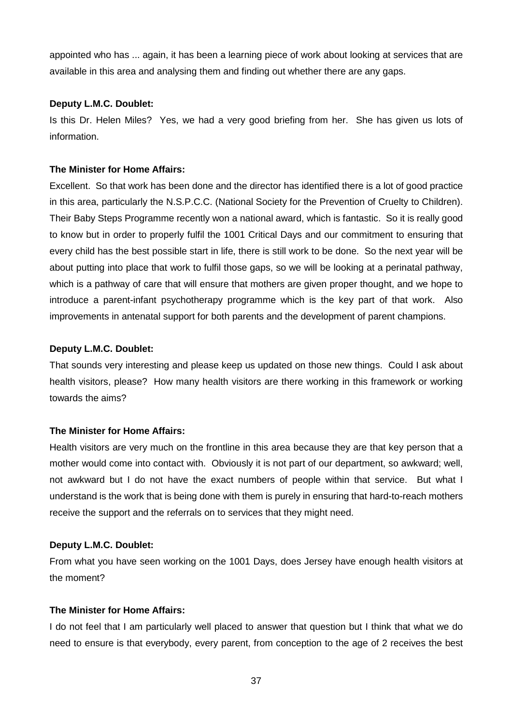appointed who has ... again, it has been a learning piece of work about looking at services that are available in this area and analysing them and finding out whether there are any gaps.

## **Deputy L.M.C. Doublet:**

Is this Dr. Helen Miles? Yes, we had a very good briefing from her. She has given us lots of information.

## **The Minister for Home Affairs:**

Excellent. So that work has been done and the director has identified there is a lot of good practice in this area, particularly the N.S.P.C.C. (National Society for the Prevention of Cruelty to Children). Their Baby Steps Programme recently won a national award, which is fantastic. So it is really good to know but in order to properly fulfil the 1001 Critical Days and our commitment to ensuring that every child has the best possible start in life, there is still work to be done. So the next year will be about putting into place that work to fulfil those gaps, so we will be looking at a perinatal pathway, which is a pathway of care that will ensure that mothers are given proper thought, and we hope to introduce a parent-infant psychotherapy programme which is the key part of that work. Also improvements in antenatal support for both parents and the development of parent champions.

## **Deputy L.M.C. Doublet:**

That sounds very interesting and please keep us updated on those new things. Could I ask about health visitors, please? How many health visitors are there working in this framework or working towards the aims?

## **The Minister for Home Affairs:**

Health visitors are very much on the frontline in this area because they are that key person that a mother would come into contact with. Obviously it is not part of our department, so awkward; well, not awkward but I do not have the exact numbers of people within that service. But what I understand is the work that is being done with them is purely in ensuring that hard-to-reach mothers receive the support and the referrals on to services that they might need.

## **Deputy L.M.C. Doublet:**

From what you have seen working on the 1001 Days, does Jersey have enough health visitors at the moment?

## **The Minister for Home Affairs:**

I do not feel that I am particularly well placed to answer that question but I think that what we do need to ensure is that everybody, every parent, from conception to the age of 2 receives the best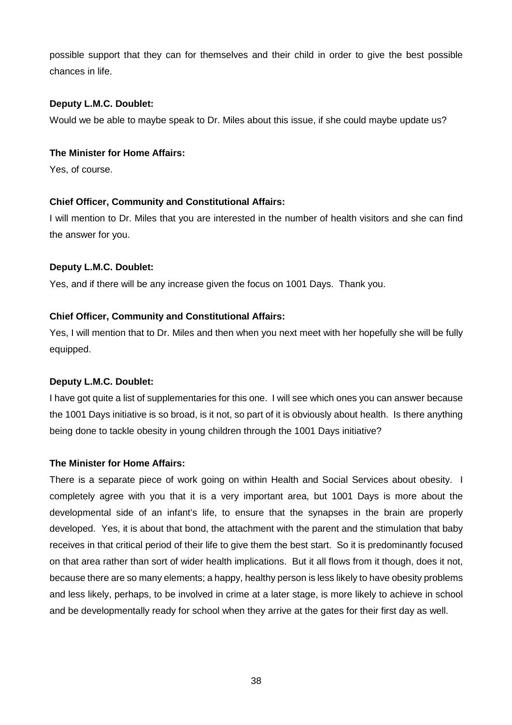possible support that they can for themselves and their child in order to give the best possible chances in life.

## **Deputy L.M.C. Doublet:**

Would we be able to maybe speak to Dr. Miles about this issue, if she could maybe update us?

## **The Minister for Home Affairs:**

Yes, of course.

## **Chief Officer, Community and Constitutional Affairs:**

I will mention to Dr. Miles that you are interested in the number of health visitors and she can find the answer for you.

## **Deputy L.M.C. Doublet:**

Yes, and if there will be any increase given the focus on 1001 Days. Thank you.

## **Chief Officer, Community and Constitutional Affairs:**

Yes, I will mention that to Dr. Miles and then when you next meet with her hopefully she will be fully equipped.

## **Deputy L.M.C. Doublet:**

I have got quite a list of supplementaries for this one. I will see which ones you can answer because the 1001 Days initiative is so broad, is it not, so part of it is obviously about health. Is there anything being done to tackle obesity in young children through the 1001 Days initiative?

## **The Minister for Home Affairs:**

There is a separate piece of work going on within Health and Social Services about obesity. I completely agree with you that it is a very important area, but 1001 Days is more about the developmental side of an infant's life, to ensure that the synapses in the brain are properly developed. Yes, it is about that bond, the attachment with the parent and the stimulation that baby receives in that critical period of their life to give them the best start. So it is predominantly focused on that area rather than sort of wider health implications. But it all flows from it though, does it not, because there are so many elements; a happy, healthy person is less likely to have obesity problems and less likely, perhaps, to be involved in crime at a later stage, is more likely to achieve in school and be developmentally ready for school when they arrive at the gates for their first day as well.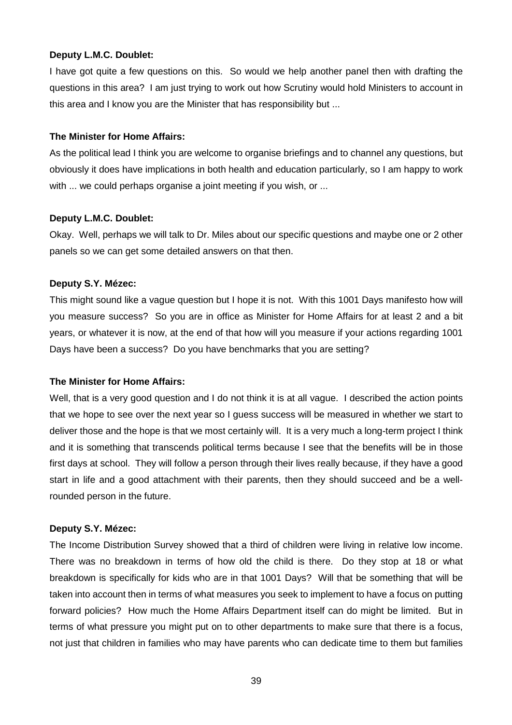I have got quite a few questions on this. So would we help another panel then with drafting the questions in this area? I am just trying to work out how Scrutiny would hold Ministers to account in this area and I know you are the Minister that has responsibility but ...

#### **The Minister for Home Affairs:**

As the political lead I think you are welcome to organise briefings and to channel any questions, but obviously it does have implications in both health and education particularly, so I am happy to work with ... we could perhaps organise a joint meeting if you wish, or ...

## **Deputy L.M.C. Doublet:**

Okay. Well, perhaps we will talk to Dr. Miles about our specific questions and maybe one or 2 other panels so we can get some detailed answers on that then.

#### **Deputy S.Y. Mézec:**

This might sound like a vague question but I hope it is not. With this 1001 Days manifesto how will you measure success? So you are in office as Minister for Home Affairs for at least 2 and a bit years, or whatever it is now, at the end of that how will you measure if your actions regarding 1001 Days have been a success? Do you have benchmarks that you are setting?

## **The Minister for Home Affairs:**

Well, that is a very good question and I do not think it is at all vague. I described the action points that we hope to see over the next year so I guess success will be measured in whether we start to deliver those and the hope is that we most certainly will. It is a very much a long-term project I think and it is something that transcends political terms because I see that the benefits will be in those first days at school. They will follow a person through their lives really because, if they have a good start in life and a good attachment with their parents, then they should succeed and be a wellrounded person in the future.

## **Deputy S.Y. Mézec:**

The Income Distribution Survey showed that a third of children were living in relative low income. There was no breakdown in terms of how old the child is there. Do they stop at 18 or what breakdown is specifically for kids who are in that 1001 Days? Will that be something that will be taken into account then in terms of what measures you seek to implement to have a focus on putting forward policies? How much the Home Affairs Department itself can do might be limited. But in terms of what pressure you might put on to other departments to make sure that there is a focus, not just that children in families who may have parents who can dedicate time to them but families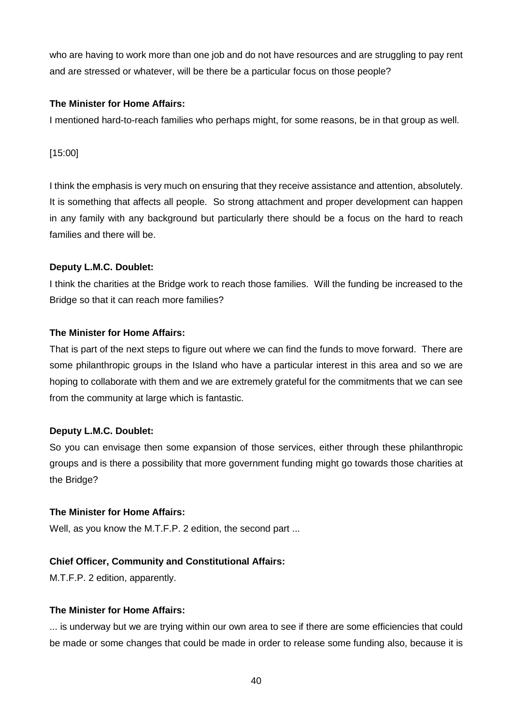who are having to work more than one job and do not have resources and are struggling to pay rent and are stressed or whatever, will be there be a particular focus on those people?

## **The Minister for Home Affairs:**

I mentioned hard-to-reach families who perhaps might, for some reasons, be in that group as well.

[15:00]

I think the emphasis is very much on ensuring that they receive assistance and attention, absolutely. It is something that affects all people. So strong attachment and proper development can happen in any family with any background but particularly there should be a focus on the hard to reach families and there will be.

## **Deputy L.M.C. Doublet:**

I think the charities at the Bridge work to reach those families. Will the funding be increased to the Bridge so that it can reach more families?

## **The Minister for Home Affairs:**

That is part of the next steps to figure out where we can find the funds to move forward. There are some philanthropic groups in the Island who have a particular interest in this area and so we are hoping to collaborate with them and we are extremely grateful for the commitments that we can see from the community at large which is fantastic.

## **Deputy L.M.C. Doublet:**

So you can envisage then some expansion of those services, either through these philanthropic groups and is there a possibility that more government funding might go towards those charities at the Bridge?

## **The Minister for Home Affairs:**

Well, as you know the M.T.F.P. 2 edition, the second part ...

## **Chief Officer, Community and Constitutional Affairs:**

M.T.F.P. 2 edition, apparently.

## **The Minister for Home Affairs:**

... is underway but we are trying within our own area to see if there are some efficiencies that could be made or some changes that could be made in order to release some funding also, because it is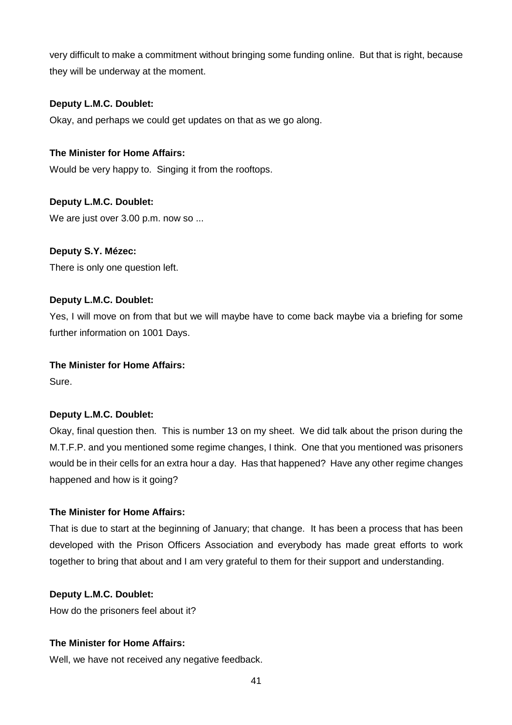very difficult to make a commitment without bringing some funding online. But that is right, because they will be underway at the moment.

## **Deputy L.M.C. Doublet:**

Okay, and perhaps we could get updates on that as we go along.

## **The Minister for Home Affairs:**

Would be very happy to. Singing it from the rooftops.

## **Deputy L.M.C. Doublet:**

We are just over 3.00 p.m. now so ...

## **Deputy S.Y. Mézec:**

There is only one question left.

## **Deputy L.M.C. Doublet:**

Yes, I will move on from that but we will maybe have to come back maybe via a briefing for some further information on 1001 Days.

## **The Minister for Home Affairs:**

Sure.

## **Deputy L.M.C. Doublet:**

Okay, final question then. This is number 13 on my sheet. We did talk about the prison during the M.T.F.P. and you mentioned some regime changes, I think. One that you mentioned was prisoners would be in their cells for an extra hour a day. Has that happened? Have any other regime changes happened and how is it going?

## **The Minister for Home Affairs:**

That is due to start at the beginning of January; that change. It has been a process that has been developed with the Prison Officers Association and everybody has made great efforts to work together to bring that about and I am very grateful to them for their support and understanding.

## **Deputy L.M.C. Doublet:**

How do the prisoners feel about it?

## **The Minister for Home Affairs:**

Well, we have not received any negative feedback.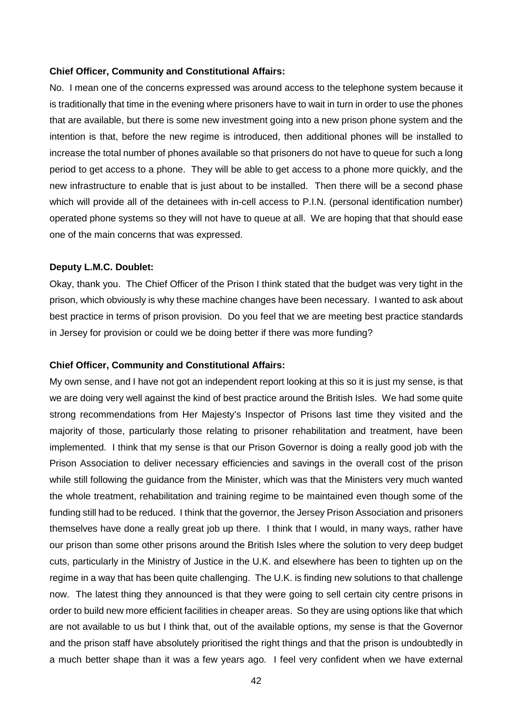#### **Chief Officer, Community and Constitutional Affairs:**

No. I mean one of the concerns expressed was around access to the telephone system because it is traditionally that time in the evening where prisoners have to wait in turn in order to use the phones that are available, but there is some new investment going into a new prison phone system and the intention is that, before the new regime is introduced, then additional phones will be installed to increase the total number of phones available so that prisoners do not have to queue for such a long period to get access to a phone. They will be able to get access to a phone more quickly, and the new infrastructure to enable that is just about to be installed. Then there will be a second phase which will provide all of the detainees with in-cell access to P.I.N. (personal identification number) operated phone systems so they will not have to queue at all. We are hoping that that should ease one of the main concerns that was expressed.

#### **Deputy L.M.C. Doublet:**

Okay, thank you. The Chief Officer of the Prison I think stated that the budget was very tight in the prison, which obviously is why these machine changes have been necessary. I wanted to ask about best practice in terms of prison provision. Do you feel that we are meeting best practice standards in Jersey for provision or could we be doing better if there was more funding?

#### **Chief Officer, Community and Constitutional Affairs:**

My own sense, and I have not got an independent report looking at this so it is just my sense, is that we are doing very well against the kind of best practice around the British Isles. We had some quite strong recommendations from Her Majesty's Inspector of Prisons last time they visited and the majority of those, particularly those relating to prisoner rehabilitation and treatment, have been implemented. I think that my sense is that our Prison Governor is doing a really good job with the Prison Association to deliver necessary efficiencies and savings in the overall cost of the prison while still following the guidance from the Minister, which was that the Ministers very much wanted the whole treatment, rehabilitation and training regime to be maintained even though some of the funding still had to be reduced. I think that the governor, the Jersey Prison Association and prisoners themselves have done a really great job up there. I think that I would, in many ways, rather have our prison than some other prisons around the British Isles where the solution to very deep budget cuts, particularly in the Ministry of Justice in the U.K. and elsewhere has been to tighten up on the regime in a way that has been quite challenging. The U.K. is finding new solutions to that challenge now. The latest thing they announced is that they were going to sell certain city centre prisons in order to build new more efficient facilities in cheaper areas. So they are using options like that which are not available to us but I think that, out of the available options, my sense is that the Governor and the prison staff have absolutely prioritised the right things and that the prison is undoubtedly in a much better shape than it was a few years ago. I feel very confident when we have external